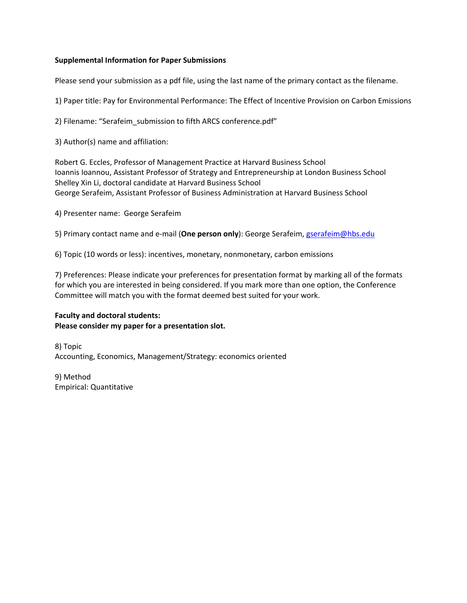## **Supplemental Information for Paper Submissions**

Please send your submission as a pdf file, using the last name of the primary contact as the filename.

1) Paper title: Pay for Environmental Performance: The Effect of Incentive Provision on Carbon Emissions

2) Filename: "Serafeim submission to fifth ARCS conference.pdf"

3) Author(s) name and affiliation:

Robert G. Eccles, Professor of Management Practice at Harvard Business School Ioannis Ioannou, Assistant Professor of Strategy and Entrepreneurship at London Business School Shelley Xin Li, doctoral candidate at Harvard Business School George Serafeim, Assistant Professor of Business Administration at Harvard Business School

4) Presenter name: George Serafeim

5) Primary contact name and e‐mail (**One person only**): George Serafeim, gserafeim@hbs.edu

6) Topic (10 words or less): incentives, monetary, nonmonetary, carbon emissions

7) Preferences: Please indicate your preferences for presentation format by marking all of the formats for which you are interested in being considered. If you mark more than one option, the Conference Committee will match you with the format deemed best suited for your work.

# **Faculty and doctoral students: Please consider my paper for a presentation slot.**

8) Topic Accounting, Economics, Management/Strategy: economics oriented

9) Method Empirical: Quantitative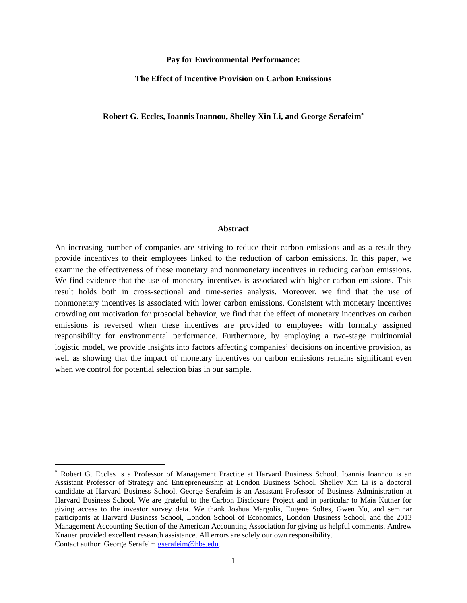#### **Pay for Environmental Performance:**

#### **The Effect of Incentive Provision on Carbon Emissions**

## **Robert G. Eccles, Ioannis Ioannou, Shelley Xin Li, and George Serafeim**

#### **Abstract**

An increasing number of companies are striving to reduce their carbon emissions and as a result they provide incentives to their employees linked to the reduction of carbon emissions. In this paper, we examine the effectiveness of these monetary and nonmonetary incentives in reducing carbon emissions. We find evidence that the use of monetary incentives is associated with higher carbon emissions. This result holds both in cross-sectional and time-series analysis. Moreover, we find that the use of nonmonetary incentives is associated with lower carbon emissions. Consistent with monetary incentives crowding out motivation for prosocial behavior, we find that the effect of monetary incentives on carbon emissions is reversed when these incentives are provided to employees with formally assigned responsibility for environmental performance. Furthermore, by employing a two-stage multinomial logistic model, we provide insights into factors affecting companies' decisions on incentive provision, as well as showing that the impact of monetary incentives on carbon emissions remains significant even when we control for potential selection bias in our sample.

 Robert G. Eccles is a Professor of Management Practice at Harvard Business School. Ioannis Ioannou is an Assistant Professor of Strategy and Entrepreneurship at London Business School. Shelley Xin Li is a doctoral candidate at Harvard Business School. George Serafeim is an Assistant Professor of Business Administration at Harvard Business School. We are grateful to the Carbon Disclosure Project and in particular to Maia Kutner for giving access to the investor survey data. We thank Joshua Margolis, Eugene Soltes, Gwen Yu, and seminar participants at Harvard Business School, London School of Economics, London Business School, and the 2013 Management Accounting Section of the American Accounting Association for giving us helpful comments. Andrew Knauer provided excellent research assistance. All errors are solely our own responsibility. Contact author: George Serafeim gserafeim@hbs.edu.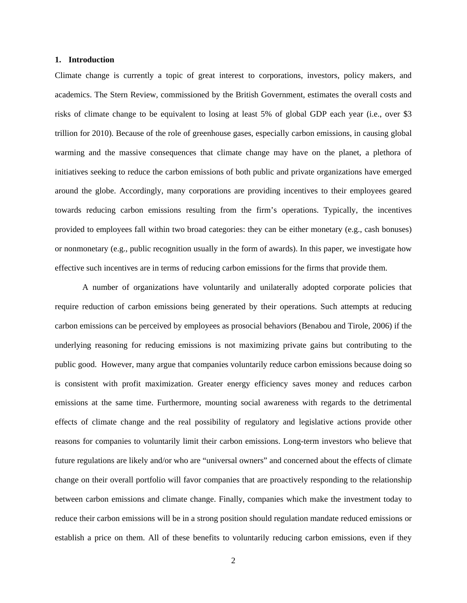#### **1. Introduction**

Climate change is currently a topic of great interest to corporations, investors, policy makers, and academics. The Stern Review, commissioned by the British Government, estimates the overall costs and risks of climate change to be equivalent to losing at least 5% of global GDP each year (i.e., over \$3 trillion for 2010). Because of the role of greenhouse gases, especially carbon emissions, in causing global warming and the massive consequences that climate change may have on the planet, a plethora of initiatives seeking to reduce the carbon emissions of both public and private organizations have emerged around the globe. Accordingly, many corporations are providing incentives to their employees geared towards reducing carbon emissions resulting from the firm's operations. Typically, the incentives provided to employees fall within two broad categories: they can be either monetary (e.g., cash bonuses) or nonmonetary (e.g., public recognition usually in the form of awards). In this paper, we investigate how effective such incentives are in terms of reducing carbon emissions for the firms that provide them.

A number of organizations have voluntarily and unilaterally adopted corporate policies that require reduction of carbon emissions being generated by their operations. Such attempts at reducing carbon emissions can be perceived by employees as prosocial behaviors (Benabou and Tirole, 2006) if the underlying reasoning for reducing emissions is not maximizing private gains but contributing to the public good. However, many argue that companies voluntarily reduce carbon emissions because doing so is consistent with profit maximization. Greater energy efficiency saves money and reduces carbon emissions at the same time. Furthermore, mounting social awareness with regards to the detrimental effects of climate change and the real possibility of regulatory and legislative actions provide other reasons for companies to voluntarily limit their carbon emissions. Long-term investors who believe that future regulations are likely and/or who are "universal owners" and concerned about the effects of climate change on their overall portfolio will favor companies that are proactively responding to the relationship between carbon emissions and climate change. Finally, companies which make the investment today to reduce their carbon emissions will be in a strong position should regulation mandate reduced emissions or establish a price on them. All of these benefits to voluntarily reducing carbon emissions, even if they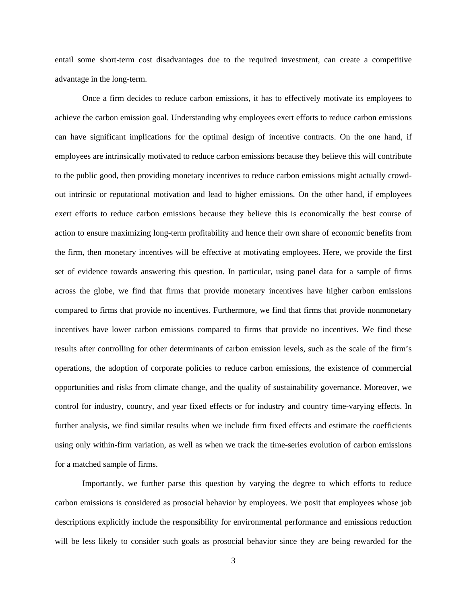entail some short-term cost disadvantages due to the required investment, can create a competitive advantage in the long-term.

Once a firm decides to reduce carbon emissions, it has to effectively motivate its employees to achieve the carbon emission goal. Understanding why employees exert efforts to reduce carbon emissions can have significant implications for the optimal design of incentive contracts. On the one hand, if employees are intrinsically motivated to reduce carbon emissions because they believe this will contribute to the public good, then providing monetary incentives to reduce carbon emissions might actually crowdout intrinsic or reputational motivation and lead to higher emissions. On the other hand, if employees exert efforts to reduce carbon emissions because they believe this is economically the best course of action to ensure maximizing long-term profitability and hence their own share of economic benefits from the firm, then monetary incentives will be effective at motivating employees. Here, we provide the first set of evidence towards answering this question. In particular, using panel data for a sample of firms across the globe, we find that firms that provide monetary incentives have higher carbon emissions compared to firms that provide no incentives. Furthermore, we find that firms that provide nonmonetary incentives have lower carbon emissions compared to firms that provide no incentives. We find these results after controlling for other determinants of carbon emission levels, such as the scale of the firm's operations, the adoption of corporate policies to reduce carbon emissions, the existence of commercial opportunities and risks from climate change, and the quality of sustainability governance. Moreover, we control for industry, country, and year fixed effects or for industry and country time-varying effects. In further analysis, we find similar results when we include firm fixed effects and estimate the coefficients using only within-firm variation, as well as when we track the time-series evolution of carbon emissions for a matched sample of firms.

Importantly, we further parse this question by varying the degree to which efforts to reduce carbon emissions is considered as prosocial behavior by employees. We posit that employees whose job descriptions explicitly include the responsibility for environmental performance and emissions reduction will be less likely to consider such goals as prosocial behavior since they are being rewarded for the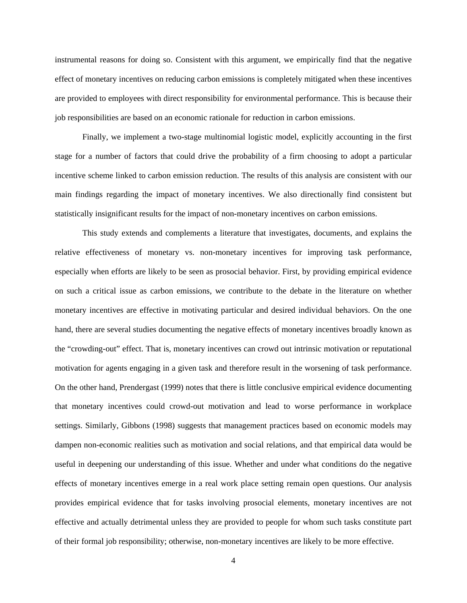instrumental reasons for doing so. Consistent with this argument, we empirically find that the negative effect of monetary incentives on reducing carbon emissions is completely mitigated when these incentives are provided to employees with direct responsibility for environmental performance. This is because their job responsibilities are based on an economic rationale for reduction in carbon emissions.

Finally, we implement a two-stage multinomial logistic model, explicitly accounting in the first stage for a number of factors that could drive the probability of a firm choosing to adopt a particular incentive scheme linked to carbon emission reduction. The results of this analysis are consistent with our main findings regarding the impact of monetary incentives. We also directionally find consistent but statistically insignificant results for the impact of non-monetary incentives on carbon emissions.

This study extends and complements a literature that investigates, documents, and explains the relative effectiveness of monetary vs. non-monetary incentives for improving task performance, especially when efforts are likely to be seen as prosocial behavior. First, by providing empirical evidence on such a critical issue as carbon emissions, we contribute to the debate in the literature on whether monetary incentives are effective in motivating particular and desired individual behaviors. On the one hand, there are several studies documenting the negative effects of monetary incentives broadly known as the "crowding-out" effect. That is, monetary incentives can crowd out intrinsic motivation or reputational motivation for agents engaging in a given task and therefore result in the worsening of task performance. On the other hand, Prendergast (1999) notes that there is little conclusive empirical evidence documenting that monetary incentives could crowd-out motivation and lead to worse performance in workplace settings. Similarly, Gibbons (1998) suggests that management practices based on economic models may dampen non-economic realities such as motivation and social relations, and that empirical data would be useful in deepening our understanding of this issue. Whether and under what conditions do the negative effects of monetary incentives emerge in a real work place setting remain open questions. Our analysis provides empirical evidence that for tasks involving prosocial elements, monetary incentives are not effective and actually detrimental unless they are provided to people for whom such tasks constitute part of their formal job responsibility; otherwise, non-monetary incentives are likely to be more effective.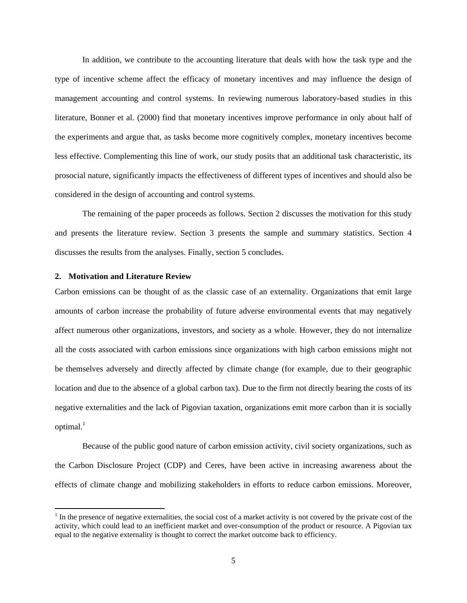In addition, we contribute to the accounting literature that deals with how the task type and the type of incentive scheme affect the efficacy of monetary incentives and may influence the design of management accounting and control systems. In reviewing numerous laboratory-based studies in this literature, Bonner et al. (2000) find that monetary incentives improve performance in only about half of the experiments and argue that, as tasks become more cognitively complex, monetary incentives become less effective. Complementing this line of work, our study posits that an additional task characteristic, its prosocial nature, significantly impacts the effectiveness of different types of incentives and should also be considered in the design of accounting and control systems.

The remaining of the paper proceeds as follows. Section 2 discusses the motivation for this study and presents the literature review. Section 3 presents the sample and summary statistics. Section 4 discusses the results from the analyses. Finally, section 5 concludes.

## **2. Motivation and Literature Review**

Carbon emissions can be thought of as the classic case of an externality. Organizations that emit large amounts of carbon increase the probability of future adverse environmental events that may negatively affect numerous other organizations, investors, and society as a whole. However, they do not internalize all the costs associated with carbon emissions since organizations with high carbon emissions might not be themselves adversely and directly affected by climate change (for example, due to their geographic location and due to the absence of a global carbon tax). Due to the firm not directly bearing the costs of its negative externalities and the lack of Pigovian taxation, organizations emit more carbon than it is socially optimal.<sup>1</sup>

 Because of the public good nature of carbon emission activity, civil society organizations, such as the Carbon Disclosure Project (CDP) and Ceres, have been active in increasing awareness about the effects of climate change and mobilizing stakeholders in efforts to reduce carbon emissions. Moreover,

 $1$  In the presence of negative externalities, the social cost of a market activity is not covered by the private cost of the activity, which could lead to an inefficient market and over-consumption of the product or resource. A Pigovian tax equal to the negative externality is thought to correct the market outcome back to efficiency.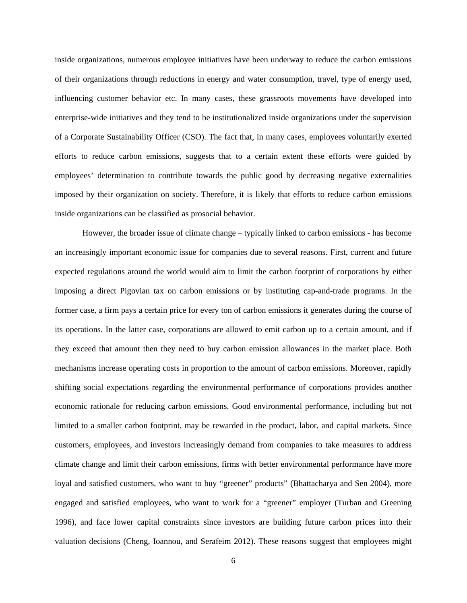inside organizations, numerous employee initiatives have been underway to reduce the carbon emissions of their organizations through reductions in energy and water consumption, travel, type of energy used, influencing customer behavior etc. In many cases, these grassroots movements have developed into enterprise-wide initiatives and they tend to be institutionalized inside organizations under the supervision of a Corporate Sustainability Officer (CSO). The fact that, in many cases, employees voluntarily exerted efforts to reduce carbon emissions, suggests that to a certain extent these efforts were guided by employees' determination to contribute towards the public good by decreasing negative externalities imposed by their organization on society. Therefore, it is likely that efforts to reduce carbon emissions inside organizations can be classified as prosocial behavior.

However, the broader issue of climate change – typically linked to carbon emissions - has become an increasingly important economic issue for companies due to several reasons. First, current and future expected regulations around the world would aim to limit the carbon footprint of corporations by either imposing a direct Pigovian tax on carbon emissions or by instituting cap-and-trade programs. In the former case, a firm pays a certain price for every ton of carbon emissions it generates during the course of its operations. In the latter case, corporations are allowed to emit carbon up to a certain amount, and if they exceed that amount then they need to buy carbon emission allowances in the market place. Both mechanisms increase operating costs in proportion to the amount of carbon emissions. Moreover, rapidly shifting social expectations regarding the environmental performance of corporations provides another economic rationale for reducing carbon emissions. Good environmental performance, including but not limited to a smaller carbon footprint, may be rewarded in the product, labor, and capital markets. Since customers, employees, and investors increasingly demand from companies to take measures to address climate change and limit their carbon emissions, firms with better environmental performance have more loyal and satisfied customers, who want to buy "greener" products" (Bhattacharya and Sen 2004), more engaged and satisfied employees, who want to work for a "greener" employer (Turban and Greening 1996), and face lower capital constraints since investors are building future carbon prices into their valuation decisions (Cheng, Ioannou, and Serafeim 2012). These reasons suggest that employees might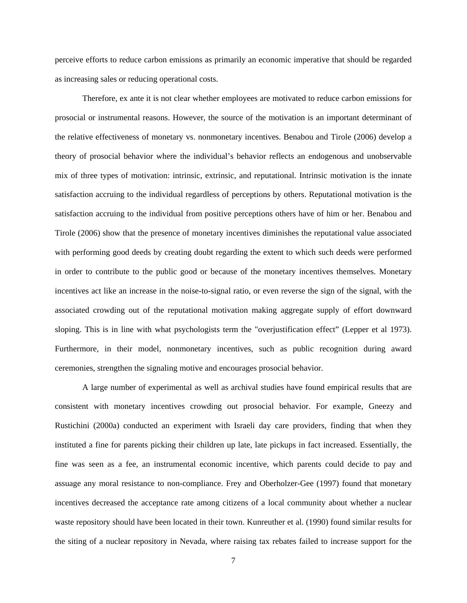perceive efforts to reduce carbon emissions as primarily an economic imperative that should be regarded as increasing sales or reducing operational costs.

Therefore, ex ante it is not clear whether employees are motivated to reduce carbon emissions for prosocial or instrumental reasons. However, the source of the motivation is an important determinant of the relative effectiveness of monetary vs. nonmonetary incentives. Benabou and Tirole (2006) develop a theory of prosocial behavior where the individual's behavior reflects an endogenous and unobservable mix of three types of motivation: intrinsic, extrinsic, and reputational. Intrinsic motivation is the innate satisfaction accruing to the individual regardless of perceptions by others. Reputational motivation is the satisfaction accruing to the individual from positive perceptions others have of him or her. Benabou and Tirole (2006) show that the presence of monetary incentives diminishes the reputational value associated with performing good deeds by creating doubt regarding the extent to which such deeds were performed in order to contribute to the public good or because of the monetary incentives themselves. Monetary incentives act like an increase in the noise-to-signal ratio, or even reverse the sign of the signal, with the associated crowding out of the reputational motivation making aggregate supply of effort downward sloping. This is in line with what psychologists term the "overjustification effect" (Lepper et al 1973). Furthermore, in their model, nonmonetary incentives, such as public recognition during award ceremonies, strengthen the signaling motive and encourages prosocial behavior.

A large number of experimental as well as archival studies have found empirical results that are consistent with monetary incentives crowding out prosocial behavior. For example, Gneezy and Rustichini (2000a) conducted an experiment with Israeli day care providers, finding that when they instituted a fine for parents picking their children up late, late pickups in fact increased. Essentially, the fine was seen as a fee, an instrumental economic incentive, which parents could decide to pay and assuage any moral resistance to non-compliance. Frey and Oberholzer-Gee (1997) found that monetary incentives decreased the acceptance rate among citizens of a local community about whether a nuclear waste repository should have been located in their town. Kunreuther et al. (1990) found similar results for the siting of a nuclear repository in Nevada, where raising tax rebates failed to increase support for the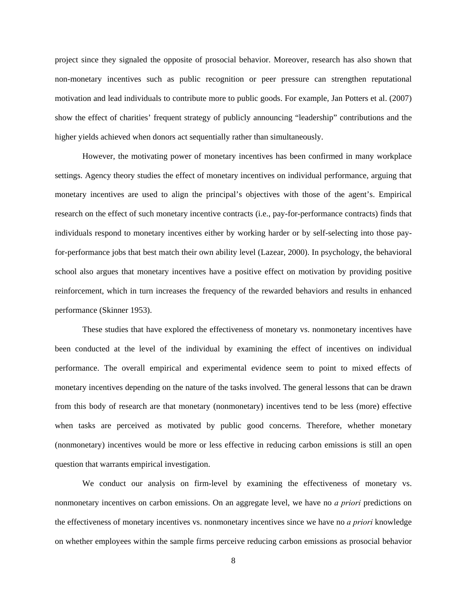project since they signaled the opposite of prosocial behavior. Moreover, research has also shown that non-monetary incentives such as public recognition or peer pressure can strengthen reputational motivation and lead individuals to contribute more to public goods. For example, Jan Potters et al. (2007) show the effect of charities' frequent strategy of publicly announcing "leadership" contributions and the higher yields achieved when donors act sequentially rather than simultaneously.

However, the motivating power of monetary incentives has been confirmed in many workplace settings. Agency theory studies the effect of monetary incentives on individual performance, arguing that monetary incentives are used to align the principal's objectives with those of the agent's. Empirical research on the effect of such monetary incentive contracts (i.e., pay-for-performance contracts) finds that individuals respond to monetary incentives either by working harder or by self-selecting into those payfor-performance jobs that best match their own ability level (Lazear, 2000). In psychology, the behavioral school also argues that monetary incentives have a positive effect on motivation by providing positive reinforcement, which in turn increases the frequency of the rewarded behaviors and results in enhanced performance (Skinner 1953).

These studies that have explored the effectiveness of monetary vs. nonmonetary incentives have been conducted at the level of the individual by examining the effect of incentives on individual performance. The overall empirical and experimental evidence seem to point to mixed effects of monetary incentives depending on the nature of the tasks involved. The general lessons that can be drawn from this body of research are that monetary (nonmonetary) incentives tend to be less (more) effective when tasks are perceived as motivated by public good concerns. Therefore, whether monetary (nonmonetary) incentives would be more or less effective in reducing carbon emissions is still an open question that warrants empirical investigation.

We conduct our analysis on firm-level by examining the effectiveness of monetary vs. nonmonetary incentives on carbon emissions. On an aggregate level, we have no *a priori* predictions on the effectiveness of monetary incentives vs. nonmonetary incentives since we have no *a priori* knowledge on whether employees within the sample firms perceive reducing carbon emissions as prosocial behavior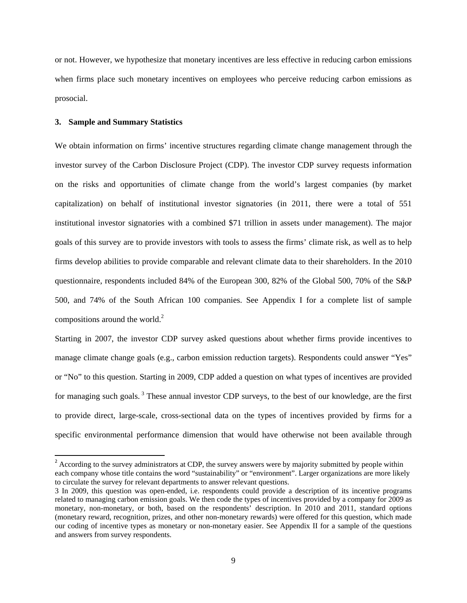or not. However, we hypothesize that monetary incentives are less effective in reducing carbon emissions when firms place such monetary incentives on employees who perceive reducing carbon emissions as prosocial.

#### **3. Sample and Summary Statistics**

We obtain information on firms' incentive structures regarding climate change management through the investor survey of the Carbon Disclosure Project (CDP). The investor CDP survey requests information on the risks and opportunities of climate change from the world's largest companies (by market capitalization) on behalf of institutional investor signatories (in 2011, there were a total of 551 institutional investor signatories with a combined \$71 trillion in assets under management). The major goals of this survey are to provide investors with tools to assess the firms' climate risk, as well as to help firms develop abilities to provide comparable and relevant climate data to their shareholders. In the 2010 questionnaire, respondents included 84% of the European 300, 82% of the Global 500, 70% of the S&P 500, and 74% of the South African 100 companies. See Appendix I for a complete list of sample compositions around the world. $2$ 

Starting in 2007, the investor CDP survey asked questions about whether firms provide incentives to manage climate change goals (e.g., carbon emission reduction targets). Respondents could answer "Yes" or "No" to this question. Starting in 2009, CDP added a question on what types of incentives are provided for managing such goals.<sup>3</sup> These annual investor CDP surveys, to the best of our knowledge, are the first to provide direct, large-scale, cross-sectional data on the types of incentives provided by firms for a specific environmental performance dimension that would have otherwise not been available through

<sup>&</sup>lt;sup>2</sup> According to the survey administrators at CDP, the survey answers were by majority submitted by people within each company whose title contains the word "sustainability" or "environment". Larger organizations are more likely to circulate the survey for relevant departments to answer relevant questions.

<sup>3</sup> In 2009, this question was open-ended, i.e. respondents could provide a description of its incentive programs related to managing carbon emission goals. We then code the types of incentives provided by a company for 2009 as monetary, non-monetary, or both, based on the respondents' description. In 2010 and 2011, standard options (monetary reward, recognition, prizes, and other non-monetary rewards) were offered for this question, which made our coding of incentive types as monetary or non-monetary easier. See Appendix II for a sample of the questions and answers from survey respondents.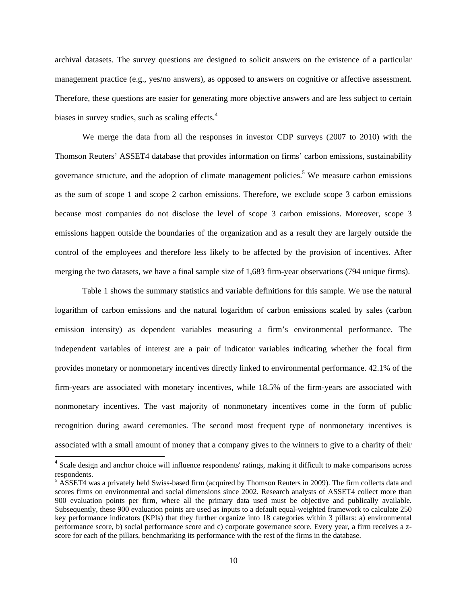archival datasets. The survey questions are designed to solicit answers on the existence of a particular management practice (e.g., yes/no answers), as opposed to answers on cognitive or affective assessment. Therefore, these questions are easier for generating more objective answers and are less subject to certain biases in survey studies, such as scaling effects.<sup>4</sup>

We merge the data from all the responses in investor CDP surveys (2007 to 2010) with the Thomson Reuters' ASSET4 database that provides information on firms' carbon emissions, sustainability governance structure, and the adoption of climate management policies.<sup>5</sup> We measure carbon emissions as the sum of scope 1 and scope 2 carbon emissions. Therefore, we exclude scope 3 carbon emissions because most companies do not disclose the level of scope 3 carbon emissions. Moreover, scope 3 emissions happen outside the boundaries of the organization and as a result they are largely outside the control of the employees and therefore less likely to be affected by the provision of incentives. After merging the two datasets, we have a final sample size of 1,683 firm-year observations (794 unique firms).

Table 1 shows the summary statistics and variable definitions for this sample. We use the natural logarithm of carbon emissions and the natural logarithm of carbon emissions scaled by sales (carbon emission intensity) as dependent variables measuring a firm's environmental performance. The independent variables of interest are a pair of indicator variables indicating whether the focal firm provides monetary or nonmonetary incentives directly linked to environmental performance. 42.1% of the firm-years are associated with monetary incentives, while 18.5% of the firm-years are associated with nonmonetary incentives. The vast majority of nonmonetary incentives come in the form of public recognition during award ceremonies. The second most frequent type of nonmonetary incentives is associated with a small amount of money that a company gives to the winners to give to a charity of their

<sup>&</sup>lt;sup>4</sup> Scale design and anchor choice will influence respondents' ratings, making it difficult to make comparisons across respondents.

<sup>&</sup>lt;sup>5</sup> ASSET4 was a privately held Swiss-based firm (acquired by Thomson Reuters in 2009). The firm collects data and scores firms on environmental and social dimensions since 2002. Research analysts of ASSET4 collect more than 900 evaluation points per firm, where all the primary data used must be objective and publically available. Subsequently, these 900 evaluation points are used as inputs to a default equal-weighted framework to calculate 250 key performance indicators (KPIs) that they further organize into 18 categories within 3 pillars: a) environmental performance score, b) social performance score and c) corporate governance score. Every year, a firm receives a zscore for each of the pillars, benchmarking its performance with the rest of the firms in the database.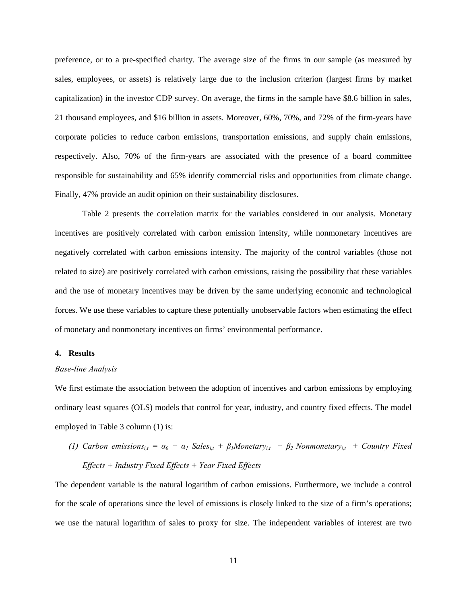preference, or to a pre-specified charity. The average size of the firms in our sample (as measured by sales, employees, or assets) is relatively large due to the inclusion criterion (largest firms by market capitalization) in the investor CDP survey. On average, the firms in the sample have \$8.6 billion in sales, 21 thousand employees, and \$16 billion in assets. Moreover, 60%, 70%, and 72% of the firm-years have corporate policies to reduce carbon emissions, transportation emissions, and supply chain emissions, respectively. Also, 70% of the firm-years are associated with the presence of a board committee responsible for sustainability and 65% identify commercial risks and opportunities from climate change. Finally, 47% provide an audit opinion on their sustainability disclosures.

Table 2 presents the correlation matrix for the variables considered in our analysis. Monetary incentives are positively correlated with carbon emission intensity, while nonmonetary incentives are negatively correlated with carbon emissions intensity. The majority of the control variables (those not related to size) are positively correlated with carbon emissions, raising the possibility that these variables and the use of monetary incentives may be driven by the same underlying economic and technological forces. We use these variables to capture these potentially unobservable factors when estimating the effect of monetary and nonmonetary incentives on firms' environmental performance.

#### **4. Results**

#### *Base-line Analysis*

We first estimate the association between the adoption of incentives and carbon emissions by employing ordinary least squares (OLS) models that control for year, industry, and country fixed effects. The model employed in Table 3 column (1) is:

*(1) Carbon emissions*<sub>*i,t*</sub> =  $\alpha_0 + \alpha_1$  *Sales*<sub>*i,t*</sub> +  $\beta_1$ *Monetary*<sub>*i,t*</sub> +  $\beta_2$ *Nonmonetary*<sub>*i,t*</sub> + *Country Fixed Effects + Industry Fixed Effects + Year Fixed Effects* 

The dependent variable is the natural logarithm of carbon emissions. Furthermore, we include a control for the scale of operations since the level of emissions is closely linked to the size of a firm's operations; we use the natural logarithm of sales to proxy for size. The independent variables of interest are two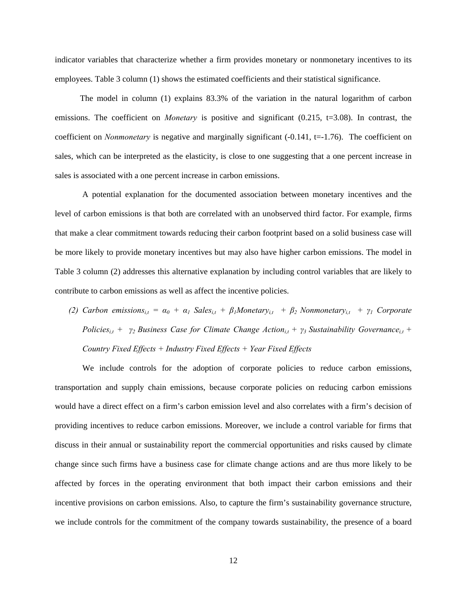indicator variables that characterize whether a firm provides monetary or nonmonetary incentives to its employees. Table 3 column (1) shows the estimated coefficients and their statistical significance.

 The model in column (1) explains 83.3% of the variation in the natural logarithm of carbon emissions. The coefficient on *Monetary* is positive and significant  $(0.215, t=3.08)$ . In contrast, the coefficient on *Nonmonetary* is negative and marginally significant (-0.141, t=-1.76). The coefficient on sales, which can be interpreted as the elasticity, is close to one suggesting that a one percent increase in sales is associated with a one percent increase in carbon emissions.

A potential explanation for the documented association between monetary incentives and the level of carbon emissions is that both are correlated with an unobserved third factor. For example, firms that make a clear commitment towards reducing their carbon footprint based on a solid business case will be more likely to provide monetary incentives but may also have higher carbon emissions. The model in Table 3 column (2) addresses this alternative explanation by including control variables that are likely to contribute to carbon emissions as well as affect the incentive policies.

*(2) Carbon emissions*<sub>*it*</sub> =  $\alpha_0 + \alpha_1$  *Sales*<sub>*it*</sub> +  $\beta_1$ *Monetary*<sub>*it*</sub> +  $\beta_2$  *Nonmonetary*<sub>*it*</sub> +  $\gamma_1$  *Corporate Policies*<sub>i,t</sub> + *γ*<sub>2</sub> Business Case for Climate Change Action<sub>i,t</sub> + *γ*<sub>3</sub> Sustainability Governance<sub>i,t</sub> + *Country Fixed Effects + Industry Fixed Effects + Year Fixed Effects* 

We include controls for the adoption of corporate policies to reduce carbon emissions, transportation and supply chain emissions, because corporate policies on reducing carbon emissions would have a direct effect on a firm's carbon emission level and also correlates with a firm's decision of providing incentives to reduce carbon emissions. Moreover, we include a control variable for firms that discuss in their annual or sustainability report the commercial opportunities and risks caused by climate change since such firms have a business case for climate change actions and are thus more likely to be affected by forces in the operating environment that both impact their carbon emissions and their incentive provisions on carbon emissions. Also, to capture the firm's sustainability governance structure, we include controls for the commitment of the company towards sustainability, the presence of a board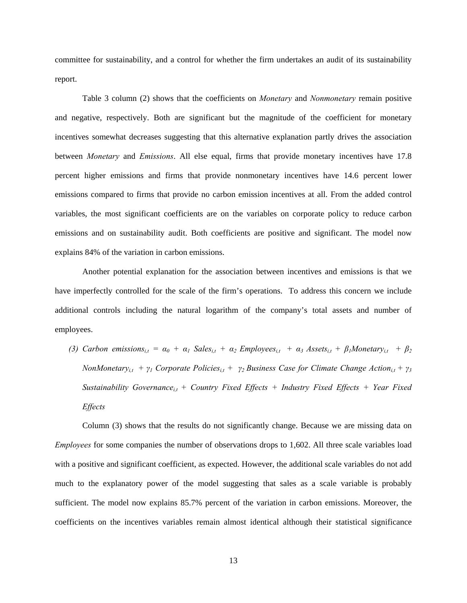committee for sustainability, and a control for whether the firm undertakes an audit of its sustainability report.

Table 3 column (2) shows that the coefficients on *Monetary* and *Nonmonetary* remain positive and negative, respectively. Both are significant but the magnitude of the coefficient for monetary incentives somewhat decreases suggesting that this alternative explanation partly drives the association between *Monetary* and *Emissions*. All else equal, firms that provide monetary incentives have 17.8 percent higher emissions and firms that provide nonmonetary incentives have 14.6 percent lower emissions compared to firms that provide no carbon emission incentives at all. From the added control variables, the most significant coefficients are on the variables on corporate policy to reduce carbon emissions and on sustainability audit. Both coefficients are positive and significant. The model now explains 84% of the variation in carbon emissions.

Another potential explanation for the association between incentives and emissions is that we have imperfectly controlled for the scale of the firm's operations. To address this concern we include additional controls including the natural logarithm of the company's total assets and number of employees.

*(3) Carbon emissions*<sub>*it*</sub> =  $\alpha_0 + \alpha_1$  *Sales*<sub>*it*</sub> +  $\alpha_2$  *Employees*<sub>*it*</sub> +  $\alpha_3$  *Assets*<sub>*it*</sub> +  $\beta_1$ *Monetary*<sub>*it*</sub> +  $\beta_2$ *NonMonetary<sub>i,t</sub> +*  $\gamma$ *<sup>1</sup> Corporate Policies<sub>i,t</sub> +*  $\gamma$ *<sup>2</sup> Business Case for Climate Change Action<sub>i,t</sub> +*  $\gamma$ *<sup>3</sup> Sustainability Governance<sub>i,t</sub>* + *Country Fixed Effects* + *Industry Fixed Effects* + *Year Fixed Effects* 

Column (3) shows that the results do not significantly change. Because we are missing data on *Employees* for some companies the number of observations drops to 1,602. All three scale variables load with a positive and significant coefficient, as expected. However, the additional scale variables do not add much to the explanatory power of the model suggesting that sales as a scale variable is probably sufficient. The model now explains 85.7% percent of the variation in carbon emissions. Moreover, the coefficients on the incentives variables remain almost identical although their statistical significance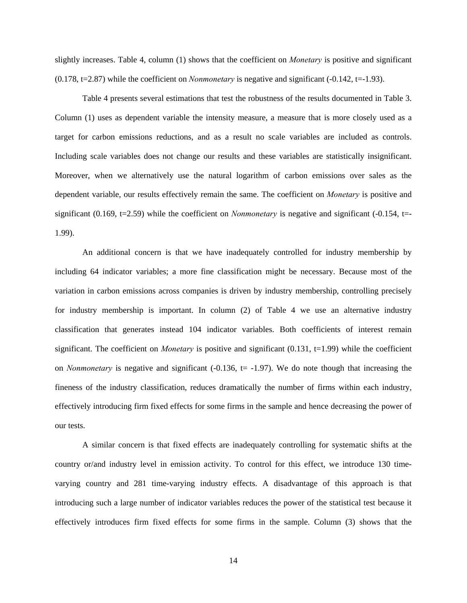slightly increases. Table 4, column (1) shows that the coefficient on *Monetary* is positive and significant (0.178, t=2.87) while the coefficient on *Nonmonetary* is negative and significant (-0.142, t=-1.93).

Table 4 presents several estimations that test the robustness of the results documented in Table 3. Column (1) uses as dependent variable the intensity measure, a measure that is more closely used as a target for carbon emissions reductions, and as a result no scale variables are included as controls. Including scale variables does not change our results and these variables are statistically insignificant. Moreover, when we alternatively use the natural logarithm of carbon emissions over sales as the dependent variable, our results effectively remain the same. The coefficient on *Monetary* is positive and significant (0.169, t=2.59) while the coefficient on *Nonmonetary* is negative and significant (-0.154, t=-1.99).

An additional concern is that we have inadequately controlled for industry membership by including 64 indicator variables; a more fine classification might be necessary. Because most of the variation in carbon emissions across companies is driven by industry membership, controlling precisely for industry membership is important. In column (2) of Table 4 we use an alternative industry classification that generates instead 104 indicator variables. Both coefficients of interest remain significant. The coefficient on *Monetary* is positive and significant  $(0.131, t=1.99)$  while the coefficient on *Nonmonetary* is negative and significant  $(-0.136, t = -1.97)$ . We do note though that increasing the fineness of the industry classification, reduces dramatically the number of firms within each industry, effectively introducing firm fixed effects for some firms in the sample and hence decreasing the power of our tests.

A similar concern is that fixed effects are inadequately controlling for systematic shifts at the country or/and industry level in emission activity. To control for this effect, we introduce 130 timevarying country and 281 time-varying industry effects. A disadvantage of this approach is that introducing such a large number of indicator variables reduces the power of the statistical test because it effectively introduces firm fixed effects for some firms in the sample. Column (3) shows that the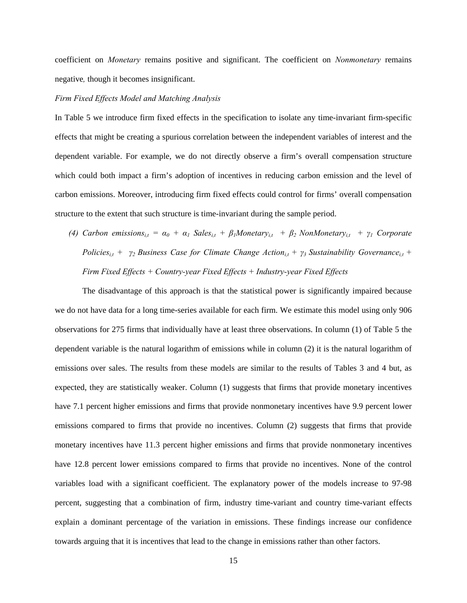coefficient on *Monetary* remains positive and significant. The coefficient on *Nonmonetary* remains negative*,* though it becomes insignificant.

#### *Firm Fixed Effects Model and Matching Analysis*

In Table 5 we introduce firm fixed effects in the specification to isolate any time-invariant firm-specific effects that might be creating a spurious correlation between the independent variables of interest and the dependent variable. For example, we do not directly observe a firm's overall compensation structure which could both impact a firm's adoption of incentives in reducing carbon emission and the level of carbon emissions. Moreover, introducing firm fixed effects could control for firms' overall compensation structure to the extent that such structure is time-invariant during the sample period.

*(4) Carbon emissions*<sub>*i,t*</sub> =  $\alpha_0 + \alpha_1$  *Sales*<sub>*i,t*</sub> +  $\beta_1$ *Monetary*<sub>*i,t*</sub> +  $\beta_2$  *NonMonetary*<sub>*i,t*</sub> +  $\gamma_1$  *Corporate Policies*<sub>i,t</sub> + *γ*<sub>2</sub> Business Case for Climate Change Action<sub>i,t</sub> + *γ*<sub>3</sub> Sustainability Governance<sub>i,t</sub> + *Firm Fixed Effects + Country-year Fixed Effects + Industry-year Fixed Effects* 

The disadvantage of this approach is that the statistical power is significantly impaired because we do not have data for a long time-series available for each firm. We estimate this model using only 906 observations for 275 firms that individually have at least three observations. In column (1) of Table 5 the dependent variable is the natural logarithm of emissions while in column (2) it is the natural logarithm of emissions over sales. The results from these models are similar to the results of Tables 3 and 4 but, as expected, they are statistically weaker. Column (1) suggests that firms that provide monetary incentives have 7.1 percent higher emissions and firms that provide nonmonetary incentives have 9.9 percent lower emissions compared to firms that provide no incentives. Column (2) suggests that firms that provide monetary incentives have 11.3 percent higher emissions and firms that provide nonmonetary incentives have 12.8 percent lower emissions compared to firms that provide no incentives. None of the control variables load with a significant coefficient. The explanatory power of the models increase to 97-98 percent, suggesting that a combination of firm, industry time-variant and country time-variant effects explain a dominant percentage of the variation in emissions. These findings increase our confidence towards arguing that it is incentives that lead to the change in emissions rather than other factors.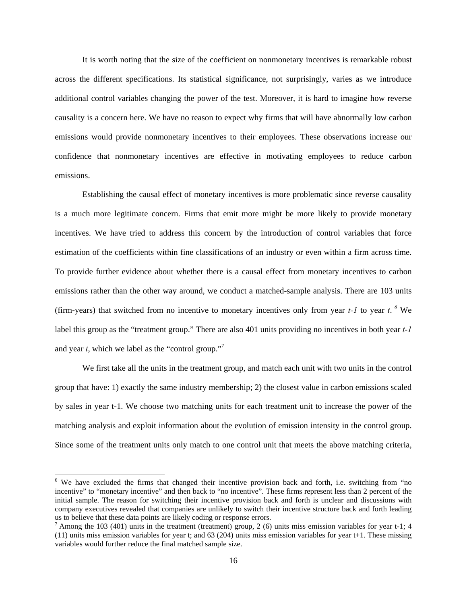It is worth noting that the size of the coefficient on nonmonetary incentives is remarkable robust across the different specifications. Its statistical significance, not surprisingly, varies as we introduce additional control variables changing the power of the test. Moreover, it is hard to imagine how reverse causality is a concern here. We have no reason to expect why firms that will have abnormally low carbon emissions would provide nonmonetary incentives to their employees. These observations increase our confidence that nonmonetary incentives are effective in motivating employees to reduce carbon emissions.

Establishing the causal effect of monetary incentives is more problematic since reverse causality is a much more legitimate concern. Firms that emit more might be more likely to provide monetary incentives. We have tried to address this concern by the introduction of control variables that force estimation of the coefficients within fine classifications of an industry or even within a firm across time. To provide further evidence about whether there is a causal effect from monetary incentives to carbon emissions rather than the other way around, we conduct a matched-sample analysis. There are 103 units (firm-years) that switched from no incentive to monetary incentives only from year  $t$ -1 to year  $t$ . <sup>6</sup> We label this group as the "treatment group." There are also 401 units providing no incentives in both year *t-1* and year *t*, which we label as the "control group."7

We first take all the units in the treatment group, and match each unit with two units in the control group that have: 1) exactly the same industry membership; 2) the closest value in carbon emissions scaled by sales in year t-1. We choose two matching units for each treatment unit to increase the power of the matching analysis and exploit information about the evolution of emission intensity in the control group. Since some of the treatment units only match to one control unit that meets the above matching criteria,

<sup>&</sup>lt;sup>6</sup> We have excluded the firms that changed their incentive provision back and forth, i.e. switching from "no incentive" to "monetary incentive" and then back to "no incentive". These firms represent less than 2 percent of the initial sample. The reason for switching their incentive provision back and forth is unclear and discussions with company executives revealed that companies are unlikely to switch their incentive structure back and forth leading us to believe that these data points are likely coding or response errors.

 $<sup>7</sup>$  Among the 103 (401) units in the treatment (treatment) group, 2 (6) units miss emission variables for year t-1; 4</sup> (11) units miss emission variables for year t; and 63 (204) units miss emission variables for year t+1. These missing variables would further reduce the final matched sample size.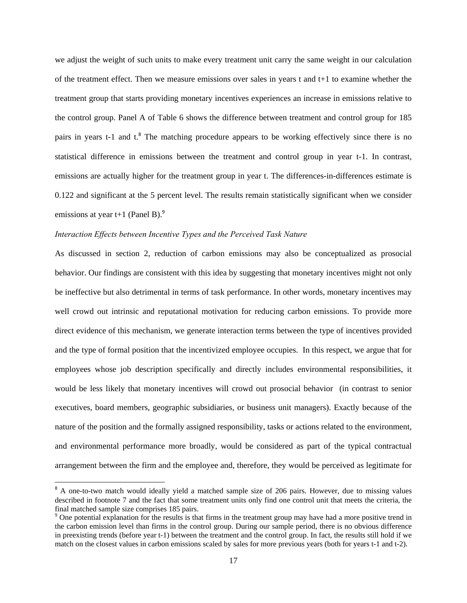we adjust the weight of such units to make every treatment unit carry the same weight in our calculation of the treatment effect. Then we measure emissions over sales in years t and t+1 to examine whether the treatment group that starts providing monetary incentives experiences an increase in emissions relative to the control group. Panel A of Table 6 shows the difference between treatment and control group for 185 pairs in years t-1 and t.<sup>8</sup> The matching procedure appears to be working effectively since there is no statistical difference in emissions between the treatment and control group in year t-1. In contrast, emissions are actually higher for the treatment group in year t. The differences-in-differences estimate is 0.122 and significant at the 5 percent level. The results remain statistically significant when we consider emissions at year t+1 (Panel B). $9^9$ 

# *Interaction Effects between Incentive Types and the Perceived Task Nature*

As discussed in section 2, reduction of carbon emissions may also be conceptualized as prosocial behavior. Our findings are consistent with this idea by suggesting that monetary incentives might not only be ineffective but also detrimental in terms of task performance. In other words, monetary incentives may well crowd out intrinsic and reputational motivation for reducing carbon emissions. To provide more direct evidence of this mechanism, we generate interaction terms between the type of incentives provided and the type of formal position that the incentivized employee occupies. In this respect, we argue that for employees whose job description specifically and directly includes environmental responsibilities, it would be less likely that monetary incentives will crowd out prosocial behavior (in contrast to senior executives, board members, geographic subsidiaries, or business unit managers). Exactly because of the nature of the position and the formally assigned responsibility, tasks or actions related to the environment, and environmental performance more broadly, would be considered as part of the typical contractual arrangement between the firm and the employee and, therefore, they would be perceived as legitimate for

<sup>&</sup>lt;sup>8</sup> A one-to-two match would ideally yield a matched sample size of 206 pairs. However, due to missing values described in footnote 7 and the fact that some treatment units only find one control unit that meets the criteria, the final matched sample size comprises 185 pairs.

<sup>&</sup>lt;sup>9</sup> One potential explanation for the results is that firms in the treatment group may have had a more positive trend in the carbon emission level than firms in the control group. During our sample period, there is no obvious difference in preexisting trends (before year t-1) between the treatment and the control group. In fact, the results still hold if we match on the closest values in carbon emissions scaled by sales for more previous years (both for years t-1 and t-2).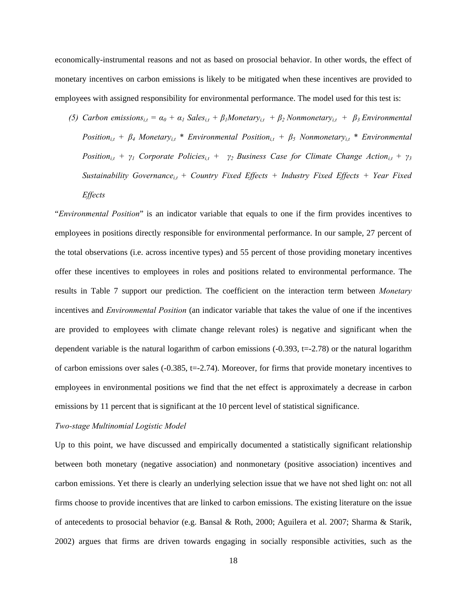economically-instrumental reasons and not as based on prosocial behavior. In other words, the effect of monetary incentives on carbon emissions is likely to be mitigated when these incentives are provided to employees with assigned responsibility for environmental performance. The model used for this test is:

*(5) Carbon emissions*<sub>*i,t</sub>* =  $\alpha_0 + \alpha_1$  *Sales*<sub>*i,t*</sub> +  $\beta_1$ *Monetary*<sub>*i,t*</sub> +  $\beta_2$ *Nonmonetary*<sub>*i,t*</sub> +  $\beta_3$ *Environmental*</sub> *Position*<sub>i,t</sub> +  $\beta_4$  *Monetary*<sub>i,t</sub> \* *Environmental Position*<sub>i,t</sub> +  $\beta_5$  *Nonmonetary*<sub>i,t</sub> \* *Environmental Position*<sub>i,t</sub> +  $\gamma$ <sup>*1</sup> Corporate Policies*<sub>i,t</sub> +  $\gamma$ <sup>2</sup> *Business Case for Climate Change Action*<sub>i,t</sub> +  $\gamma$ <sup>3</sup></sup> *Sustainability Governance*<sub>it</sub> + Country Fixed Effects + Industry Fixed Effects + Year Fixed *Effects* 

"*Environmental Position*" is an indicator variable that equals to one if the firm provides incentives to employees in positions directly responsible for environmental performance. In our sample, 27 percent of the total observations (i.e. across incentive types) and 55 percent of those providing monetary incentives offer these incentives to employees in roles and positions related to environmental performance. The results in Table 7 support our prediction. The coefficient on the interaction term between *Monetary* incentives and *Environmental Position* (an indicator variable that takes the value of one if the incentives are provided to employees with climate change relevant roles) is negative and significant when the dependent variable is the natural logarithm of carbon emissions  $(-0.393, t=-2.78)$  or the natural logarithm of carbon emissions over sales  $(-0.385, t=-2.74)$ . Moreover, for firms that provide monetary incentives to employees in environmental positions we find that the net effect is approximately a decrease in carbon emissions by 11 percent that is significant at the 10 percent level of statistical significance.

#### *Two-stage Multinomial Logistic Model*

Up to this point, we have discussed and empirically documented a statistically significant relationship between both monetary (negative association) and nonmonetary (positive association) incentives and carbon emissions. Yet there is clearly an underlying selection issue that we have not shed light on: not all firms choose to provide incentives that are linked to carbon emissions. The existing literature on the issue of antecedents to prosocial behavior (e.g. Bansal & Roth, 2000; Aguilera et al. 2007; Sharma & Starik, 2002) argues that firms are driven towards engaging in socially responsible activities, such as the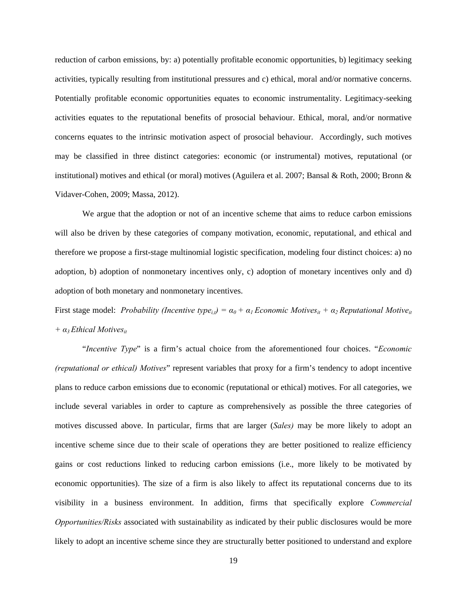reduction of carbon emissions, by: a) potentially profitable economic opportunities, b) legitimacy seeking activities, typically resulting from institutional pressures and c) ethical, moral and/or normative concerns. Potentially profitable economic opportunities equates to economic instrumentality. Legitimacy-seeking activities equates to the reputational benefits of prosocial behaviour. Ethical, moral, and/or normative concerns equates to the intrinsic motivation aspect of prosocial behaviour. Accordingly, such motives may be classified in three distinct categories: economic (or instrumental) motives, reputational (or institutional) motives and ethical (or moral) motives (Aguilera et al. 2007; Bansal & Roth, 2000; Bronn & Vidaver-Cohen, 2009; Massa, 2012).

We argue that the adoption or not of an incentive scheme that aims to reduce carbon emissions will also be driven by these categories of company motivation, economic, reputational, and ethical and therefore we propose a first-stage multinomial logistic specification, modeling four distinct choices: a) no adoption, b) adoption of nonmonetary incentives only, c) adoption of monetary incentives only and d) adoption of both monetary and nonmonetary incentives.

First stage model: *Probability (Incentive type<sub>it</sub>)* =  $\alpha_0 + \alpha_1$  *Economic Motives<sub>it</sub> +*  $\alpha_2$  *Reputational Motive<sub>it</sub> + α3 Ethical Motivesit* 

"*Incentive Type*" is a firm's actual choice from the aforementioned four choices. "*Economic (reputational or ethical) Motives*" represent variables that proxy for a firm's tendency to adopt incentive plans to reduce carbon emissions due to economic (reputational or ethical) motives. For all categories, we include several variables in order to capture as comprehensively as possible the three categories of motives discussed above. In particular, firms that are larger (*Sales)* may be more likely to adopt an incentive scheme since due to their scale of operations they are better positioned to realize efficiency gains or cost reductions linked to reducing carbon emissions (i.e., more likely to be motivated by economic opportunities). The size of a firm is also likely to affect its reputational concerns due to its visibility in a business environment. In addition, firms that specifically explore *Commercial Opportunities/Risks* associated with sustainability as indicated by their public disclosures would be more likely to adopt an incentive scheme since they are structurally better positioned to understand and explore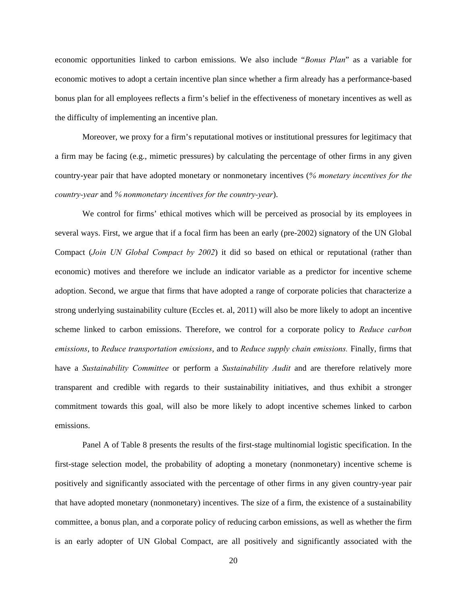economic opportunities linked to carbon emissions. We also include "*Bonus Plan*" as a variable for economic motives to adopt a certain incentive plan since whether a firm already has a performance-based bonus plan for all employees reflects a firm's belief in the effectiveness of monetary incentives as well as the difficulty of implementing an incentive plan.

Moreover, we proxy for a firm's reputational motives or institutional pressures for legitimacy that a firm may be facing (e.g., mimetic pressures) by calculating the percentage of other firms in any given country-year pair that have adopted monetary or nonmonetary incentives (*% monetary incentives for the country-year* and *% nonmonetary incentives for the country-year*).

We control for firms' ethical motives which will be perceived as prosocial by its employees in several ways. First, we argue that if a focal firm has been an early (pre-2002) signatory of the UN Global Compact (*Join UN Global Compact by 2002*) it did so based on ethical or reputational (rather than economic) motives and therefore we include an indicator variable as a predictor for incentive scheme adoption. Second, we argue that firms that have adopted a range of corporate policies that characterize a strong underlying sustainability culture (Eccles et. al, 2011) will also be more likely to adopt an incentive scheme linked to carbon emissions. Therefore, we control for a corporate policy to *Reduce carbon emissions*, to *Reduce transportation emissions*, and to *Reduce supply chain emissions.* Finally, firms that have a *Sustainability Committee* or perform a *Sustainability Audit* and are therefore relatively more transparent and credible with regards to their sustainability initiatives, and thus exhibit a stronger commitment towards this goal, will also be more likely to adopt incentive schemes linked to carbon emissions.

Panel A of Table 8 presents the results of the first-stage multinomial logistic specification. In the first-stage selection model, the probability of adopting a monetary (nonmonetary) incentive scheme is positively and significantly associated with the percentage of other firms in any given country-year pair that have adopted monetary (nonmonetary) incentives. The size of a firm, the existence of a sustainability committee, a bonus plan, and a corporate policy of reducing carbon emissions, as well as whether the firm is an early adopter of UN Global Compact, are all positively and significantly associated with the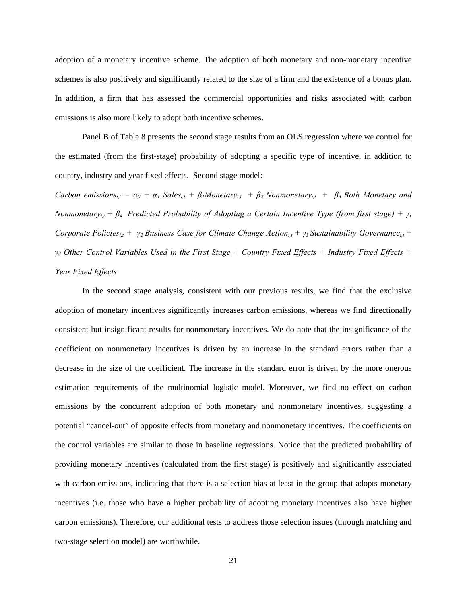adoption of a monetary incentive scheme. The adoption of both monetary and non-monetary incentive schemes is also positively and significantly related to the size of a firm and the existence of a bonus plan. In addition, a firm that has assessed the commercial opportunities and risks associated with carbon emissions is also more likely to adopt both incentive schemes.

Panel B of Table 8 presents the second stage results from an OLS regression where we control for the estimated (from the first-stage) probability of adopting a specific type of incentive, in addition to country, industry and year fixed effects. Second stage model:

*Carbon emissions*<sub>it</sub> =  $\alpha_0$  +  $\alpha_1$  Sales<sub>it</sub> +  $\beta_1$ Monetary<sub>it</sub> +  $\beta_2$  Nonmonetary<sub>it</sub> +  $\beta_3$  Both Monetary and *Nonmonetary*<sub>*it*</sub> +  $\beta$ <sup>*4*</sup> Predicted Probability of Adopting a Certain Incentive Type (from first stage) +  $\gamma$ <sup>1</sup> *Corporate Policies<sub>i,t</sub> +*  $\gamma_2$  *Business Case for Climate Change Action<sub>i,t</sub> +*  $\gamma_3$  *Sustainability Governance<sub>i,t</sub> + γ4 Other Control Variables Used in the First Stage + Country Fixed Effects + Industry Fixed Effects + Year Fixed Effects* 

In the second stage analysis, consistent with our previous results, we find that the exclusive adoption of monetary incentives significantly increases carbon emissions, whereas we find directionally consistent but insignificant results for nonmonetary incentives. We do note that the insignificance of the coefficient on nonmonetary incentives is driven by an increase in the standard errors rather than a decrease in the size of the coefficient. The increase in the standard error is driven by the more onerous estimation requirements of the multinomial logistic model. Moreover, we find no effect on carbon emissions by the concurrent adoption of both monetary and nonmonetary incentives, suggesting a potential "cancel-out" of opposite effects from monetary and nonmonetary incentives. The coefficients on the control variables are similar to those in baseline regressions. Notice that the predicted probability of providing monetary incentives (calculated from the first stage) is positively and significantly associated with carbon emissions, indicating that there is a selection bias at least in the group that adopts monetary incentives (i.e. those who have a higher probability of adopting monetary incentives also have higher carbon emissions). Therefore, our additional tests to address those selection issues (through matching and two-stage selection model) are worthwhile.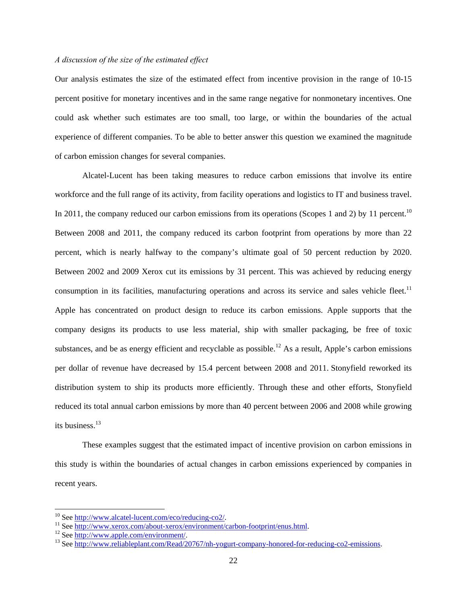### *A discussion of the size of the estimated effect*

Our analysis estimates the size of the estimated effect from incentive provision in the range of 10-15 percent positive for monetary incentives and in the same range negative for nonmonetary incentives. One could ask whether such estimates are too small, too large, or within the boundaries of the actual experience of different companies. To be able to better answer this question we examined the magnitude of carbon emission changes for several companies.

Alcatel-Lucent has been taking measures to reduce carbon emissions that involve its entire workforce and the full range of its activity, from facility operations and logistics to IT and business travel. In 2011, the company reduced our carbon emissions from its operations (Scopes 1 and 2) by 11 percent.<sup>10</sup> Between 2008 and 2011, the company reduced its carbon footprint from operations by more than 22 percent, which is nearly halfway to the company's ultimate goal of 50 percent reduction by 2020. Between 2002 and 2009 Xerox cut its emissions by 31 percent. This was achieved by reducing energy consumption in its facilities, manufacturing operations and across its service and sales vehicle fleet.<sup>11</sup> Apple has concentrated on product design to reduce its carbon emissions. Apple supports that the company designs its products to use less material, ship with smaller packaging, be free of toxic substances, and be as energy efficient and recyclable as possible.<sup>12</sup> As a result, Apple's carbon emissions per dollar of revenue have decreased by 15.4 percent between 2008 and 2011. Stonyfield reworked its distribution system to ship its products more efficiently. Through these and other efforts, Stonyfield reduced its total annual carbon emissions by more than 40 percent between 2006 and 2008 while growing its business.<sup>13</sup>

These examples suggest that the estimated impact of incentive provision on carbon emissions in this study is within the boundaries of actual changes in carbon emissions experienced by companies in recent years.

<sup>&</sup>lt;sup>10</sup> See http://www.alcatel-lucent.com/eco/reducing-co2/.<br><sup>11</sup> See http://www.xerox.com/about-xerox/environment/carbon-footprint/enus.html.<br><sup>12</sup> See http://www.apple.com/environment/.<br><sup>13</sup> See http://www.reliableplant.com/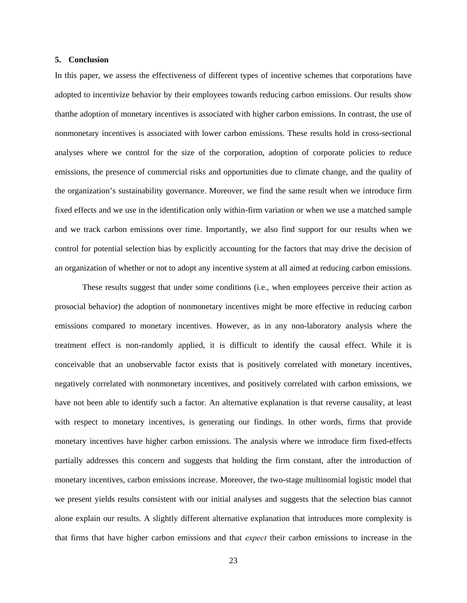#### **5. Conclusion**

In this paper, we assess the effectiveness of different types of incentive schemes that corporations have adopted to incentivize behavior by their employees towards reducing carbon emissions. Our results show thatthe adoption of monetary incentives is associated with higher carbon emissions. In contrast, the use of nonmonetary incentives is associated with lower carbon emissions. These results hold in cross-sectional analyses where we control for the size of the corporation, adoption of corporate policies to reduce emissions, the presence of commercial risks and opportunities due to climate change, and the quality of the organization's sustainability governance. Moreover, we find the same result when we introduce firm fixed effects and we use in the identification only within-firm variation or when we use a matched sample and we track carbon emissions over time. Importantly, we also find support for our results when we control for potential selection bias by explicitly accounting for the factors that may drive the decision of an organization of whether or not to adopt any incentive system at all aimed at reducing carbon emissions.

These results suggest that under some conditions (i.e., when employees perceive their action as prosocial behavior) the adoption of nonmonetary incentives might be more effective in reducing carbon emissions compared to monetary incentives. However, as in any non-laboratory analysis where the treatment effect is non-randomly applied, it is difficult to identify the causal effect. While it is conceivable that an unobservable factor exists that is positively correlated with monetary incentives, negatively correlated with nonmonetary incentives, and positively correlated with carbon emissions, we have not been able to identify such a factor. An alternative explanation is that reverse causality, at least with respect to monetary incentives, is generating our findings. In other words, firms that provide monetary incentives have higher carbon emissions. The analysis where we introduce firm fixed-effects partially addresses this concern and suggests that holding the firm constant, after the introduction of monetary incentives, carbon emissions increase. Moreover, the two-stage multinomial logistic model that we present yields results consistent with our initial analyses and suggests that the selection bias cannot alone explain our results. A slightly different alternative explanation that introduces more complexity is that firms that have higher carbon emissions and that *expect* their carbon emissions to increase in the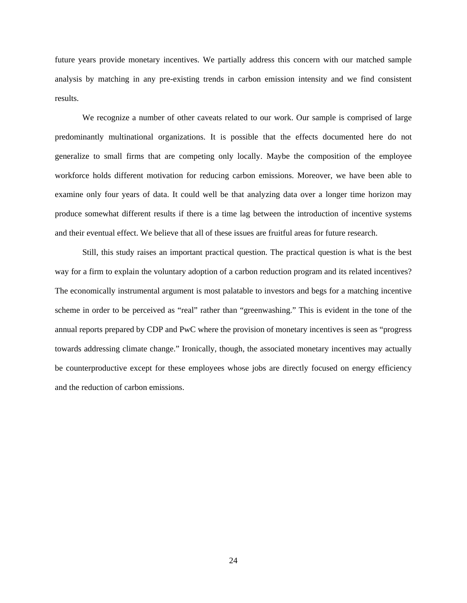future years provide monetary incentives. We partially address this concern with our matched sample analysis by matching in any pre-existing trends in carbon emission intensity and we find consistent results.

We recognize a number of other caveats related to our work. Our sample is comprised of large predominantly multinational organizations. It is possible that the effects documented here do not generalize to small firms that are competing only locally. Maybe the composition of the employee workforce holds different motivation for reducing carbon emissions. Moreover, we have been able to examine only four years of data. It could well be that analyzing data over a longer time horizon may produce somewhat different results if there is a time lag between the introduction of incentive systems and their eventual effect. We believe that all of these issues are fruitful areas for future research.

Still, this study raises an important practical question. The practical question is what is the best way for a firm to explain the voluntary adoption of a carbon reduction program and its related incentives? The economically instrumental argument is most palatable to investors and begs for a matching incentive scheme in order to be perceived as "real" rather than "greenwashing." This is evident in the tone of the annual reports prepared by CDP and PwC where the provision of monetary incentives is seen as "progress towards addressing climate change." Ironically, though, the associated monetary incentives may actually be counterproductive except for these employees whose jobs are directly focused on energy efficiency and the reduction of carbon emissions.

24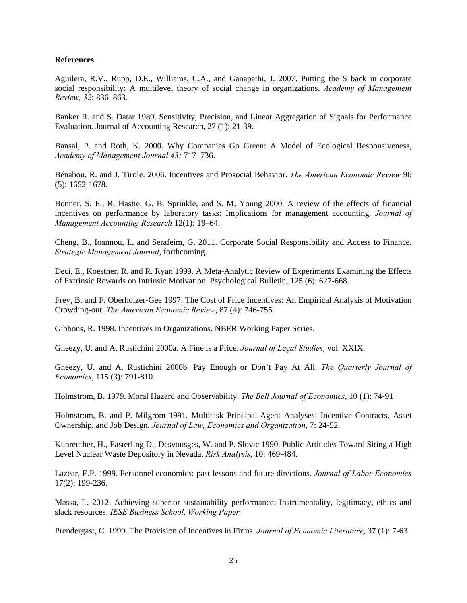### **References**

Aguilera, R.V., Rupp, D.E., Williams, C.A., and Ganapathi, J. 2007. Putting the S back in corporate social responsibility: A multilevel theory of social change in organizations. *Academy of Management Review, 32*: 836–863.

Banker R. and S. Datar 1989. Sensitivity, Precision, and Linear Aggregation of Signals for Performance Evaluation. Journal of Accounting Research, 27 (1): 21-39.

Bansal, P. and Roth, K. 2000. Why Companies Go Green: A Model of Ecological Responsiveness, *Academy of Management Journal 43:* 717–736.

Bénabou, R. and J. Tirole. 2006. Incentives and Prosocial Behavior. *The American Economic Review* 96 (5): 1652-1678.

Bonner, S. E., R. Hastie, G. B. Sprinkle, and S. M. Young 2000. A review of the effects of financial incentives on performance by laboratory tasks: Implications for management accounting. *Journal of Management Accounting Research* 12(1): 19–64.

Cheng, B., Ioannou, I., and Serafeim, G. 2011. Corporate Social Responsibility and Access to Finance. *Strategic Management Journal*, forthcoming.

Deci, E., Koestner, R. and R. Ryan 1999. A Meta-Analytic Review of Experiments Examining the Effects of Extrinsic Rewards on Intrinsic Motivation. Psychological Bulletin, 125 (6): 627-668.

Frey, B. and F. Oberholzer-Gee 1997. The Cost of Price Incentives: An Empirical Analysis of Motivation Crowding-out. *The American Economic Review*, 87 (4): 746-755.

Gibbons, R. 1998. Incentives in Organizations. NBER Working Paper Series.

Gneezy, U. and A. Rustichini 2000a. A Fine is a Price. *Journal of Legal Studies*, vol. XXIX.

Gneezy, U. and A. Rustichini 2000b. Pay Enough or Don't Pay At All. *The Quarterly Journal of Economics*, 115 (3): 791-810.

Holmstrom, B. 1979. Moral Hazard and Observability. *The Bell Journal of Economics*, 10 (1): 74-91

Holmstrom, B. and P. Milgrom 1991. Multitask Principal-Agent Analyses: Incentive Contracts, Asset Ownership, and Job Design. *Journal of Law, Economics and Organization*, 7: 24-52.

Kunreuther, H., Easterling D., Desvousges, W. and P. Slovic 1990. Public Attitudes Toward Siting a High Level Nuclear Waste Depository in Nevada. *Risk Analysis*, 10: 469-484.

Lazear, E.P. 1999. Personnel economics: past lessons and future directions. *Journal of Labor Economics* 17(2): 199-236.

Massa, L. 2012. Achieving superior sustainability performance: Instrumentality, legitimacy, ethics and slack resources. *IESE Business School, Working Paper* 

Prendergast, C. 1999. The Provision of Incentives in Firms. *Journal of Economic Literature*, 37 (1): 7-63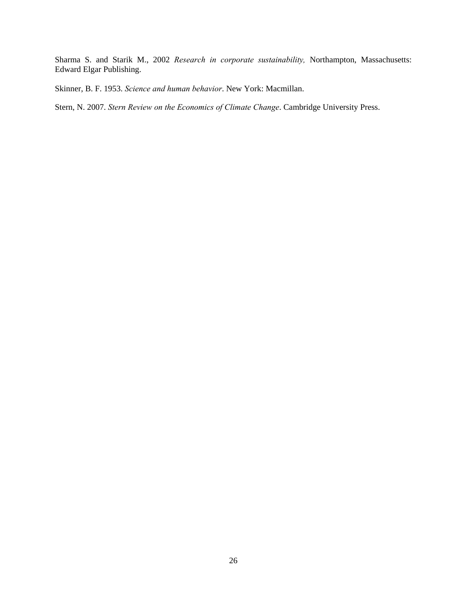Sharma S. and Starik M., 2002 *Research in corporate sustainability,* Northampton, Massachusetts: Edward Elgar Publishing.

Skinner, B. F. 1953. *Science and human behavior*. New York: Macmillan.

Stern, N. 2007. *Stern Review on the Economics of Climate Change*. Cambridge University Press.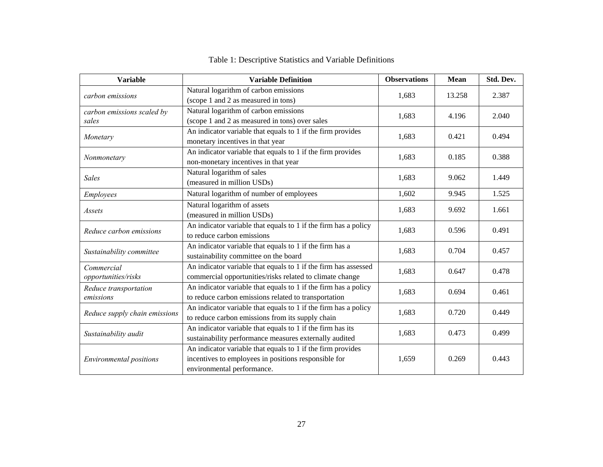| <b>Variable</b>                                                                                                                              | <b>Variable Definition</b>                                                                                                                        | <b>Observations</b> | <b>Mean</b> | Std. Dev. |
|----------------------------------------------------------------------------------------------------------------------------------------------|---------------------------------------------------------------------------------------------------------------------------------------------------|---------------------|-------------|-----------|
| carbon emissions                                                                                                                             | Natural logarithm of carbon emissions<br>(scope 1 and 2 as measured in tons)                                                                      | 1,683               | 13.258      | 2.387     |
| carbon emissions scaled by<br>sales                                                                                                          | Natural logarithm of carbon emissions<br>(scope 1 and 2 as measured in tons) over sales                                                           | 1,683               | 4.196       | 2.040     |
| Monetary                                                                                                                                     | An indicator variable that equals to 1 if the firm provides<br>monetary incentives in that year                                                   | 1,683               | 0.421       | 0.494     |
| Nonmonetary                                                                                                                                  | An indicator variable that equals to 1 if the firm provides<br>non-monetary incentives in that year                                               | 1,683               | 0.185       | 0.388     |
| <b>Sales</b>                                                                                                                                 | Natural logarithm of sales<br>(measured in million USDs)                                                                                          | 1,683               | 9.062       | 1.449     |
| Employees                                                                                                                                    | Natural logarithm of number of employees                                                                                                          | 1,602               | 9.945       | 1.525     |
| Assets                                                                                                                                       | Natural logarithm of assets<br>(measured in million USDs)                                                                                         |                     | 9.692       | 1.661     |
| Reduce carbon emissions                                                                                                                      | An indicator variable that equals to 1 if the firm has a policy<br>to reduce carbon emissions                                                     | 1,683               | 0.596       | 0.491     |
| Sustainability committee                                                                                                                     | An indicator variable that equals to 1 if the firm has a<br>sustainability committee on the board                                                 | 1,683               | 0.704       | 0.457     |
| Commercial<br>opportunities/risks                                                                                                            | An indicator variable that equals to 1 if the firm has assessed<br>commercial opportunities/risks related to climate change                       | 1,683               | 0.647       | 0.478     |
| Reduce transportation<br>emissions                                                                                                           | An indicator variable that equals to 1 if the firm has a policy<br>to reduce carbon emissions related to transportation                           | 1,683               | 0.694       | 0.461     |
| Reduce supply chain emissions                                                                                                                | An indicator variable that equals to 1 if the firm has a policy<br>to reduce carbon emissions from its supply chain                               |                     | 0.720       | 0.449     |
| An indicator variable that equals to 1 if the firm has its<br>Sustainability audit<br>sustainability performance measures externally audited |                                                                                                                                                   | 1,683               | 0.473       | 0.499     |
| <b>Environmental positions</b>                                                                                                               | An indicator variable that equals to 1 if the firm provides<br>incentives to employees in positions responsible for<br>environmental performance. | 1,659               | 0.269       | 0.443     |

# Table 1: Descriptive Statistics and Variable Definitions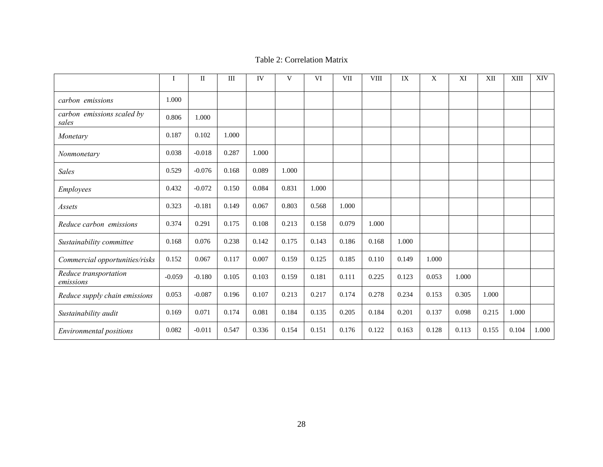#### Table 2: Correlation Matrix

|                                     | Ι        | $\mathbf{I}$ | $\rm III$ | IV    | V     | <b>VI</b> | <b>VII</b> | <b>VIII</b> | IX    | X     | XI    | XII   | XIII  | <b>XIV</b> |
|-------------------------------------|----------|--------------|-----------|-------|-------|-----------|------------|-------------|-------|-------|-------|-------|-------|------------|
| carbon emissions                    | 1.000    |              |           |       |       |           |            |             |       |       |       |       |       |            |
| carbon emissions scaled by<br>sales | 0.806    | 1.000        |           |       |       |           |            |             |       |       |       |       |       |            |
| Monetary                            | 0.187    | 0.102        | 1.000     |       |       |           |            |             |       |       |       |       |       |            |
| Nonmonetary                         | 0.038    | $-0.018$     | 0.287     | 1.000 |       |           |            |             |       |       |       |       |       |            |
| <b>Sales</b>                        | 0.529    | $-0.076$     | 0.168     | 0.089 | 1.000 |           |            |             |       |       |       |       |       |            |
| Employees                           | 0.432    | $-0.072$     | 0.150     | 0.084 | 0.831 | 1.000     |            |             |       |       |       |       |       |            |
| Assets                              | 0.323    | $-0.181$     | 0.149     | 0.067 | 0.803 | 0.568     | 1.000      |             |       |       |       |       |       |            |
| Reduce carbon emissions             | 0.374    | 0.291        | 0.175     | 0.108 | 0.213 | 0.158     | 0.079      | 1.000       |       |       |       |       |       |            |
| Sustainability committee            | 0.168    | 0.076        | 0.238     | 0.142 | 0.175 | 0.143     | 0.186      | 0.168       | 1.000 |       |       |       |       |            |
| Commercial opportunities/risks      | 0.152    | 0.067        | 0.117     | 0.007 | 0.159 | 0.125     | 0.185      | 0.110       | 0.149 | 1.000 |       |       |       |            |
| Reduce transportation<br>emissions  | $-0.059$ | $-0.180$     | 0.105     | 0.103 | 0.159 | 0.181     | 0.111      | 0.225       | 0.123 | 0.053 | 1.000 |       |       |            |
| Reduce supply chain emissions       | 0.053    | $-0.087$     | 0.196     | 0.107 | 0.213 | 0.217     | 0.174      | 0.278       | 0.234 | 0.153 | 0.305 | 1.000 |       |            |
| Sustainability audit                | 0.169    | 0.071        | 0.174     | 0.081 | 0.184 | 0.135     | 0.205      | 0.184       | 0.201 | 0.137 | 0.098 | 0.215 | 1.000 |            |
| <b>Environmental positions</b>      | 0.082    | $-0.011$     | 0.547     | 0.336 | 0.154 | 0.151     | 0.176      | 0.122       | 0.163 | 0.128 | 0.113 | 0.155 | 0.104 | 1.000      |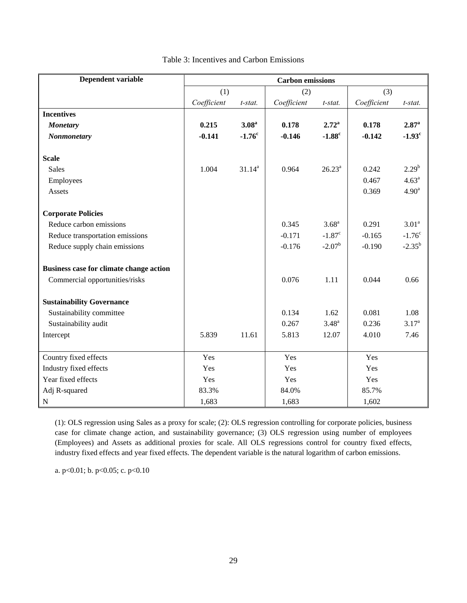| Dependent variable                      | <b>Carbon</b> emissions |                   |             |                      |             |                      |  |  |
|-----------------------------------------|-------------------------|-------------------|-------------|----------------------|-------------|----------------------|--|--|
|                                         | (1)                     |                   | (2)         |                      | (3)         |                      |  |  |
|                                         | Coefficient             | t-stat.           | Coefficient | t-stat.              | Coefficient | t-stat.              |  |  |
| <b>Incentives</b>                       |                         |                   |             |                      |             |                      |  |  |
| <b>Monetary</b>                         | 0.215                   | 3.08 <sup>a</sup> | 0.178       | $2.72^{\rm a}$       | 0.178       | $2.87^{\rm a}$       |  |  |
| Nonmonetary                             | $-0.141$                | $-1.76^c$         | $-0.146$    | $-1.88^c$            | $-0.142$    | $-1.93$ <sup>c</sup> |  |  |
|                                         |                         |                   |             |                      |             |                      |  |  |
| <b>Scale</b>                            |                         |                   |             |                      |             |                      |  |  |
| <b>Sales</b>                            | 1.004                   | $31.14^{a}$       | 0.964       | $26.23^a$            | 0.242       | $2.29^{b}$           |  |  |
| Employees                               |                         |                   |             |                      | 0.467       | $4.63^{\circ}$       |  |  |
| Assets                                  |                         |                   |             |                      | 0.369       | 4.90 <sup>a</sup>    |  |  |
| <b>Corporate Policies</b>               |                         |                   |             |                      |             |                      |  |  |
| Reduce carbon emissions                 |                         |                   | 0.345       | $3.68^{\rm a}$       | 0.291       | 3.01 <sup>a</sup>    |  |  |
| Reduce transportation emissions         |                         |                   | $-0.171$    | $-1.87$ <sup>c</sup> | $-0.165$    | $-1.76^{\circ}$      |  |  |
| Reduce supply chain emissions           |                         |                   | $-0.176$    | $-2.07^{\rm b}$      | $-0.190$    | $-2.35^{b}$          |  |  |
| Business case for climate change action |                         |                   |             |                      |             |                      |  |  |
| Commercial opportunities/risks          |                         |                   | 0.076       | 1.11                 | 0.044       | 0.66                 |  |  |
| <b>Sustainability Governance</b>        |                         |                   |             |                      |             |                      |  |  |
| Sustainability committee                |                         |                   | 0.134       | 1.62                 | 0.081       | 1.08                 |  |  |
| Sustainability audit                    |                         |                   | 0.267       | $3.48^{a}$           | 0.236       | $3.17^{a}$           |  |  |
| Intercept                               | 5.839                   | 11.61             | 5.813       | 12.07                | 4.010       | 7.46                 |  |  |
|                                         |                         |                   |             |                      |             |                      |  |  |
| Country fixed effects                   | Yes                     |                   | Yes         |                      | Yes         |                      |  |  |
| Industry fixed effects                  | Yes                     |                   | Yes         |                      | Yes         |                      |  |  |
| Year fixed effects                      | Yes                     |                   | Yes         |                      | Yes         |                      |  |  |
| Adj R-squared                           | 83.3%                   |                   | 84.0%       |                      | 85.7%       |                      |  |  |
| $\mathbf N$                             | 1,683                   |                   | 1,683       |                      | 1,602       |                      |  |  |

### Table 3: Incentives and Carbon Emissions

(1): OLS regression using Sales as a proxy for scale; (2): OLS regression controlling for corporate policies, business case for climate change action, and sustainability governance; (3) OLS regression using number of employees (Employees) and Assets as additional proxies for scale. All OLS regressions control for country fixed effects, industry fixed effects and year fixed effects. The dependent variable is the natural logarithm of carbon emissions.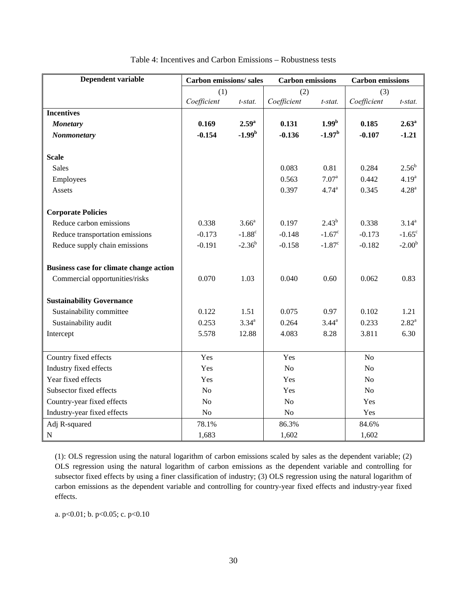| Dependent variable                      | <b>Carbon emissions/sales</b> |                   |             | <b>Carbon</b> emissions |                | <b>Carbon</b> emissions |
|-----------------------------------------|-------------------------------|-------------------|-------------|-------------------------|----------------|-------------------------|
|                                         | (1)                           |                   | (2)         |                         | (3)            |                         |
|                                         | Coefficient                   | t-stat.           | Coefficient | t-stat.                 | Coefficient    | $t$ -stat.              |
| <b>Incentives</b>                       |                               |                   |             |                         |                |                         |
| <b>Monetary</b>                         | 0.169                         | 2.59 <sup>a</sup> | 0.131       | 1.99 <sup>b</sup>       | 0.185          | 2.63 <sup>a</sup>       |
| Nonmonetary                             | $-0.154$                      | $-1.99b$          | $-0.136$    | $-1.97b$                | $-0.107$       | $-1.21$                 |
|                                         |                               |                   |             |                         |                |                         |
| <b>Scale</b>                            |                               |                   |             |                         |                |                         |
| <b>Sales</b>                            |                               |                   | 0.083       | 0.81                    | 0.284          | $2.56^b$                |
| Employees                               |                               |                   | 0.563       | $7.07^{\text{a}}$       | 0.442          | 4.19 <sup>a</sup>       |
| Assets                                  |                               |                   | 0.397       | 4.74 <sup>a</sup>       | 0.345          | $4.28^{a}$              |
|                                         |                               |                   |             |                         |                |                         |
| <b>Corporate Policies</b>               |                               |                   |             |                         |                |                         |
| Reduce carbon emissions                 | 0.338                         | 3.66 <sup>a</sup> | 0.197       | $2.43^{b}$              | 0.338          | $3.14^{a}$              |
| Reduce transportation emissions         | $-0.173$                      | $-1.88^c$         | $-0.148$    | $-1.67^{\circ}$         | $-0.173$       | $-1.65^{\circ}$         |
| Reduce supply chain emissions           | $-0.191$                      | $-2.36^{b}$       | $-0.158$    | $-1.87$ <sup>c</sup>    | $-0.182$       | $-2.00b$                |
|                                         |                               |                   |             |                         |                |                         |
| Business case for climate change action |                               |                   |             |                         |                |                         |
| Commercial opportunities/risks          | 0.070                         | 1.03              | 0.040       | 0.60                    | 0.062          | 0.83                    |
|                                         |                               |                   |             |                         |                |                         |
| <b>Sustainability Governance</b>        |                               |                   |             |                         |                |                         |
| Sustainability committee                | 0.122                         | 1.51              | 0.075       | 0.97                    | 0.102          | 1.21                    |
| Sustainability audit                    | 0.253                         | $3.34^{a}$        | 0.264       | $3.44^{\rm a}$          | 0.233          | $2.82^{a}$              |
| Intercept                               | 5.578                         | 12.88             | 4.083       | 8.28                    | 3.811          | 6.30                    |
|                                         |                               |                   |             |                         |                |                         |
| Country fixed effects                   | Yes                           |                   | Yes         |                         | N <sub>o</sub> |                         |
| Industry fixed effects                  | Yes                           |                   | No          |                         | No             |                         |
| Year fixed effects                      | Yes                           |                   | Yes         |                         | N <sub>o</sub> |                         |
| Subsector fixed effects                 | N <sub>o</sub>                |                   | Yes         |                         | N <sub>o</sub> |                         |
| Country-year fixed effects              | N <sub>o</sub>                |                   | No          |                         | Yes            |                         |
| Industry-year fixed effects             | No                            |                   | No          |                         | Yes            |                         |
| Adj R-squared                           | 78.1%                         |                   | 86.3%       |                         | 84.6%          |                         |
| ${\bf N}$                               | 1,683                         |                   | 1,602       |                         | 1,602          |                         |

| Table 4: Incentives and Carbon Emissions – Robustness tests |
|-------------------------------------------------------------|
|-------------------------------------------------------------|

(1): OLS regression using the natural logarithm of carbon emissions scaled by sales as the dependent variable; (2) OLS regression using the natural logarithm of carbon emissions as the dependent variable and controlling for subsector fixed effects by using a finer classification of industry; (3) OLS regression using the natural logarithm of carbon emissions as the dependent variable and controlling for country-year fixed effects and industry-year fixed effects.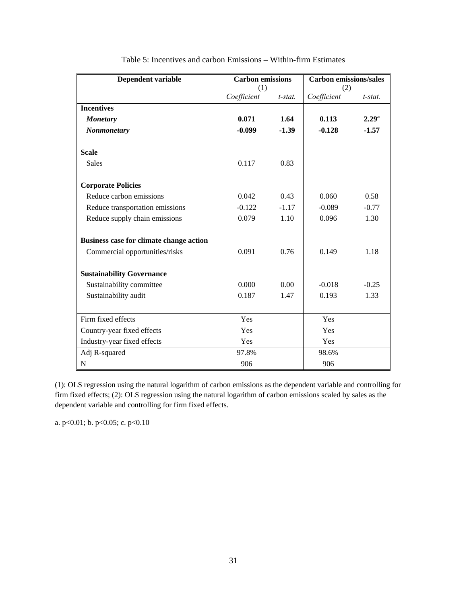| <b>Dependent variable</b>               | <b>Carbon emissions</b> |            | <b>Carbon emissions/sales</b> |            |
|-----------------------------------------|-------------------------|------------|-------------------------------|------------|
|                                         | (1)                     |            | (2)                           |            |
|                                         | Coefficient             | $t$ -stat. | Coefficient                   | $t$ -stat. |
| <b>Incentives</b>                       |                         |            |                               |            |
| <b>Monetary</b>                         | 0.071                   | 1.64       | 0.113                         | $2.29^{a}$ |
| Nonmonetary                             | $-0.099$                | $-1.39$    | $-0.128$                      | $-1.57$    |
|                                         |                         |            |                               |            |
| <b>Scale</b>                            |                         |            |                               |            |
| <b>Sales</b>                            | 0.117                   | 0.83       |                               |            |
|                                         |                         |            |                               |            |
| <b>Corporate Policies</b>               |                         |            |                               |            |
| Reduce carbon emissions                 | 0.042                   | 0.43       | 0.060                         | 0.58       |
| Reduce transportation emissions         | $-0.122$                | $-1.17$    | $-0.089$                      | $-0.77$    |
| Reduce supply chain emissions           | 0.079                   | 1.10       | 0.096                         | 1.30       |
|                                         |                         |            |                               |            |
| Business case for climate change action |                         |            |                               |            |
| Commercial opportunities/risks          | 0.091                   | 0.76       | 0.149                         | 1.18       |
|                                         |                         |            |                               |            |
| <b>Sustainability Governance</b>        |                         |            |                               |            |
| Sustainability committee                | 0.000                   | 0.00       | $-0.018$                      | $-0.25$    |
| Sustainability audit                    | 0.187                   | 1.47       | 0.193                         | 1.33       |
|                                         |                         |            |                               |            |
| Firm fixed effects                      | Yes                     |            | Yes                           |            |
| Country-year fixed effects              | Yes                     |            | Yes                           |            |
| Industry-year fixed effects             | Yes                     |            | Yes                           |            |
| Adj R-squared                           | 97.8%                   |            | 98.6%                         |            |
| N                                       | 906                     |            | 906                           |            |

Table 5: Incentives and carbon Emissions – Within-firm Estimates

(1): OLS regression using the natural logarithm of carbon emissions as the dependent variable and controlling for firm fixed effects; (2): OLS regression using the natural logarithm of carbon emissions scaled by sales as the dependent variable and controlling for firm fixed effects.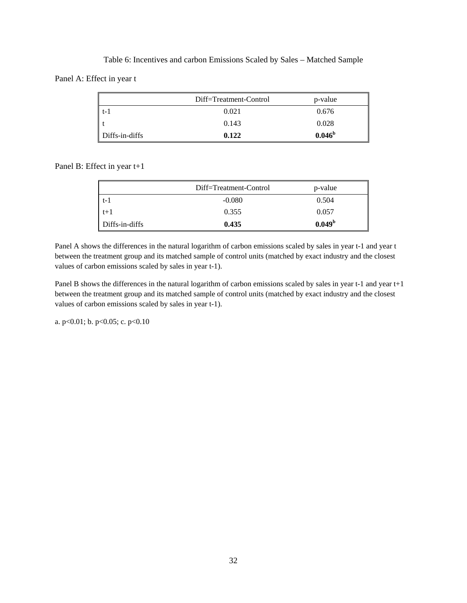|                | Diff=Treatment-Control | p-value         |
|----------------|------------------------|-----------------|
| t – I          | 0.021                  | 0.676           |
|                | 0.143                  | 0.028           |
| Diffs-in-diffs | 0.122                  | $0.046^{\rm b}$ |

Table 6: Incentives and carbon Emissions Scaled by Sales – Matched Sample Panel A: Effect in year t

Panel B: Effect in year t+1

|                | Diff=Treatment-Control | p-value            |
|----------------|------------------------|--------------------|
| $t-1$          | $-0.080$               | 0.504              |
| $t+1$          | 0.355                  | 0.057              |
| Diffs-in-diffs | 0.435                  | 0.049 <sup>b</sup> |

Panel A shows the differences in the natural logarithm of carbon emissions scaled by sales in year t-1 and year t between the treatment group and its matched sample of control units (matched by exact industry and the closest values of carbon emissions scaled by sales in year t-1).

Panel B shows the differences in the natural logarithm of carbon emissions scaled by sales in year t-1 and year t+1 between the treatment group and its matched sample of control units (matched by exact industry and the closest values of carbon emissions scaled by sales in year t-1).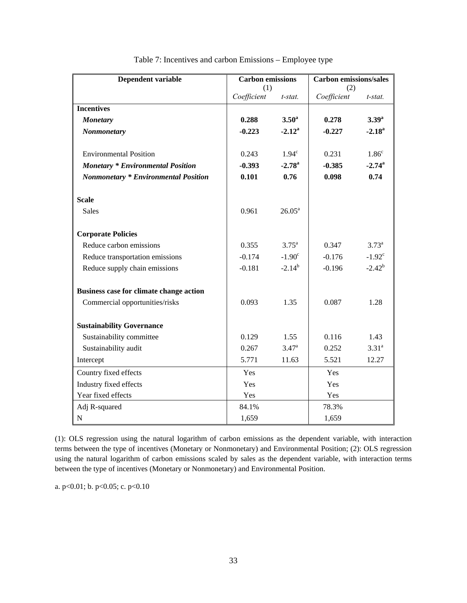| Dependent variable                          | <b>Carbon</b> emissions |                    | <b>Carbon emissions/sales</b> |                   |  |
|---------------------------------------------|-------------------------|--------------------|-------------------------------|-------------------|--|
|                                             | (1)                     |                    | (2)                           |                   |  |
|                                             | Coefficient             | t-stat.            | Coefficient                   | t-stat.           |  |
| <b>Incentives</b>                           |                         |                    |                               |                   |  |
| <b>Monetary</b>                             | 0.288                   | 3.50 <sup>a</sup>  | 0.278                         | $3.39^{a}$        |  |
| <b>Nonmonetary</b>                          | $-0.223$                | $-2.12^{\rm a}$    | $-0.227$                      | $-2.18^{\rm a}$   |  |
| <b>Environmental Position</b>               | 0.243                   | $1.94^\circ$       | 0.231                         | 1.86 <sup>c</sup> |  |
| <b>Monetary * Environmental Position</b>    | $-0.393$                | $-2.78^{\rm a}$    | $-0.385$                      | $-2.74^{\rm a}$   |  |
| <b>Nonmonetary * Environmental Position</b> | 0.101                   | 0.76               | 0.098                         | 0.74              |  |
| <b>Scale</b>                                |                         |                    |                               |                   |  |
| <b>Sales</b>                                | 0.961                   | $26.05^{\text{a}}$ |                               |                   |  |
| <b>Corporate Policies</b>                   |                         |                    |                               |                   |  |
| Reduce carbon emissions                     | 0.355                   | $3.75^{\circ}$     | 0.347                         | $3.73^{\circ}$    |  |
| Reduce transportation emissions             | $-0.174$                | $-1.90^{\circ}$    | $-0.176$                      | $-1.92^{\circ}$   |  |
| Reduce supply chain emissions               | $-0.181$                | $-2.14^{b}$        | $-0.196$                      | $-2.42^{b}$       |  |
| Business case for climate change action     |                         |                    |                               |                   |  |
| Commercial opportunities/risks              | 0.093                   | 1.35               | 0.087                         | 1.28              |  |
| <b>Sustainability Governance</b>            |                         |                    |                               |                   |  |
| Sustainability committee                    | 0.129                   | 1.55               | 0.116                         | 1.43              |  |
| Sustainability audit                        | 0.267                   | 3.47 <sup>a</sup>  | 0.252                         | $3.31^{\circ}$    |  |
| Intercept                                   | 5.771                   | 11.63              | 5.521                         | 12.27             |  |
| Country fixed effects                       | <b>Yes</b>              |                    | Yes                           |                   |  |
| Industry fixed effects                      | Yes                     |                    | Yes                           |                   |  |
| Year fixed effects                          | Yes                     |                    | Yes                           |                   |  |
| Adj R-squared                               | 84.1%                   |                    | 78.3%                         |                   |  |
| ${\bf N}$                                   | 1,659                   |                    | 1,659                         |                   |  |

Table 7: Incentives and carbon Emissions – Employee type

(1): OLS regression using the natural logarithm of carbon emissions as the dependent variable, with interaction terms between the type of incentives (Monetary or Nonmonetary) and Environmental Position; (2): OLS regression using the natural logarithm of carbon emissions scaled by sales as the dependent variable, with interaction terms between the type of incentives (Monetary or Nonmonetary) and Environmental Position.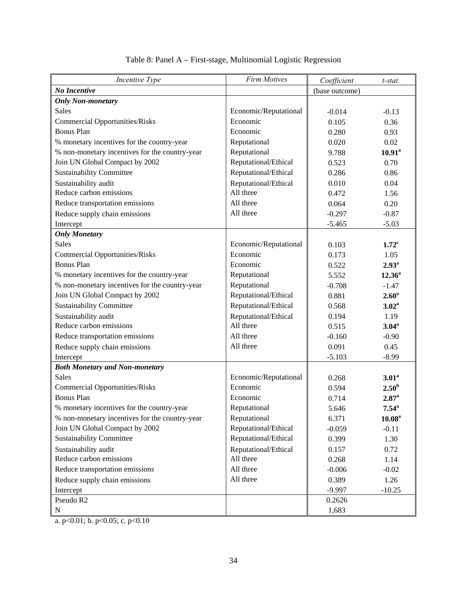| Incentive Type                                 | <b>Firm Motives</b>   | Coefficient    | t-stat.            |
|------------------------------------------------|-----------------------|----------------|--------------------|
| No Incentive                                   |                       | (base outcome) |                    |
| <b>Only Non-monetary</b>                       |                       |                |                    |
| Sales                                          | Economic/Reputational | $-0.014$       | $-0.13$            |
| <b>Commercial Opportunities/Risks</b>          | Economic              | 0.105          | 0.36               |
| <b>Bonus Plan</b>                              | Economic              | 0.280          | 0.93               |
| % monetary incentives for the country-year     | Reputational          | 0.020          | 0.02               |
| % non-monetary incentives for the country-year | Reputational          | 9.788          | $10.91^a$          |
| Join UN Global Compact by 2002                 | Reputational/Ethical  | 0.523          | 0.70               |
| <b>Sustainability Committee</b>                | Reputational/Ethical  | 0.286          | 0.86               |
| Sustainability audit                           | Reputational/Ethical  | 0.010          | 0.04               |
| Reduce carbon emissions                        | All three             | 0.472          | 1.56               |
| Reduce transportation emissions                | All three             | 0.064          | 0.20               |
| Reduce supply chain emissions                  | All three             | $-0.297$       | $-0.87$            |
| Intercept                                      |                       | $-5.465$       | $-5.03$            |
| <b>Only Monetary</b>                           |                       |                |                    |
| <b>Sales</b>                                   | Economic/Reputational | 0.103          | 1.72 <sup>c</sup>  |
| <b>Commercial Opportunities/Risks</b>          | Economic              | 0.173          | 1.05               |
| <b>Bonus Plan</b>                              | Economic              | 0.522          | 2.93 <sup>a</sup>  |
| % monetary incentives for the country-year     | Reputational          | 5.552          | $12.36^a$          |
| % non-monetary incentives for the country-year | Reputational          | $-0.708$       | $-1.47$            |
| Join UN Global Compact by 2002                 | Reputational/Ethical  | 0.881          | 2.60 <sup>a</sup>  |
| <b>Sustainability Committee</b>                | Reputational/Ethical  | 0.568          | 3.02 <sup>a</sup>  |
| Sustainability audit                           | Reputational/Ethical  | 0.194          | 1.19               |
| Reduce carbon emissions                        | All three             | 0.515          | $3.04^{\rm a}$     |
| Reduce transportation emissions                | All three             | $-0.160$       | $-0.90$            |
| Reduce supply chain emissions                  | All three             | 0.091          | 0.45               |
| Intercept                                      |                       | $-5.103$       | $-8.99$            |
| <b>Both Monetary and Non-monetary</b>          |                       |                |                    |
| Sales                                          | Economic/Reputational | 0.268          | 3.01 <sup>a</sup>  |
| <b>Commercial Opportunities/Risks</b>          | Economic              | 0.594          | 2.50 <sup>b</sup>  |
| <b>Bonus Plan</b>                              | Economic              | 0.714          | 2.87 <sup>a</sup>  |
| % monetary incentives for the country-year     | Reputational          | 5.646          | $7.54^{\circ}$     |
| % non-monetary incentives for the country-year | Reputational          | 6.371          | 10.08 <sup>a</sup> |
| Join UN Global Compact by 2002                 | Reputational/Ethical  | $-0.059$       | $-0.11$            |
| <b>Sustainability Committee</b>                | Reputational/Ethical  | 0.399          | 1.30               |
| Sustainability audit                           | Reputational/Ethical  | 0.157          | 0.72               |
| Reduce carbon emissions                        | All three             | 0.268          | 1.14               |
| Reduce transportation emissions                | All three             | $-0.006$       | $-0.02$            |
| Reduce supply chain emissions                  | All three             | 0.389          | 1.26               |
| Intercept                                      |                       | $-9.997$       | $-10.25$           |
| Pseudo R2                                      |                       | 0.2626         |                    |
| $\mathbf N$                                    |                       | 1,683          |                    |

# Table 8: Panel A – First-stage, Multinomial Logistic Regression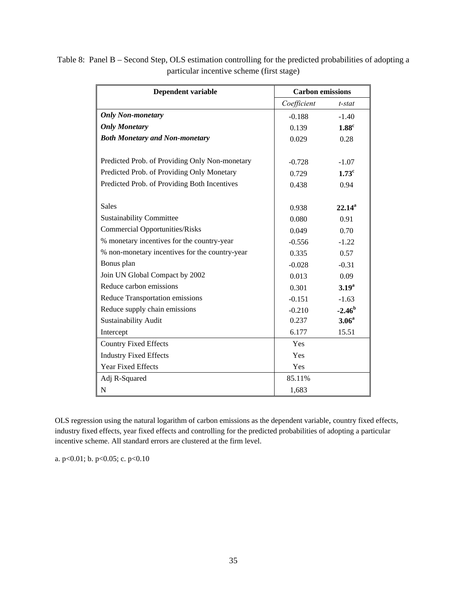| Dependent variable                             | <b>Carbon emissions</b> |                   |
|------------------------------------------------|-------------------------|-------------------|
|                                                | Coefficient             | t-stat            |
| <b>Only Non-monetary</b>                       | $-0.188$                | $-1.40$           |
| <b>Only Monetary</b>                           | 0.139                   | $1.88^{\circ}$    |
| <b>Both Monetary and Non-monetary</b>          | 0.029                   | 0.28              |
|                                                |                         |                   |
| Predicted Prob. of Providing Only Non-monetary | $-0.728$                | $-1.07$           |
| Predicted Prob. of Providing Only Monetary     | 0.729                   | 1.73 <sup>c</sup> |
| Predicted Prob. of Providing Both Incentives   | 0.438                   | 0.94              |
|                                                |                         |                   |
| <b>Sales</b>                                   | 0.938                   | $22.14^a$         |
| <b>Sustainability Committee</b>                | 0.080                   | 0.91              |
| <b>Commercial Opportunities/Risks</b>          | 0.049                   | 0.70              |
| % monetary incentives for the country-year     | $-0.556$                | $-1.22$           |
| % non-monetary incentives for the country-year | 0.335                   | 0.57              |
| Bonus plan                                     | $-0.028$                | $-0.31$           |
| Join UN Global Compact by 2002                 | 0.013                   | 0.09              |
| Reduce carbon emissions                        | 0.301                   | 3.19 <sup>a</sup> |
| Reduce Transportation emissions                | $-0.151$                | $-1.63$           |
| Reduce supply chain emissions                  | $-0.210$                | $-2.46b$          |
| Sustainability Audit                           | 0.237                   | 3.06 <sup>a</sup> |
| Intercept                                      | 6.177                   | 15.51             |
| <b>Country Fixed Effects</b>                   | Yes                     |                   |
| <b>Industry Fixed Effects</b>                  | Yes                     |                   |
| <b>Year Fixed Effects</b>                      | Yes                     |                   |
| Adj R-Squared                                  | 85.11%                  |                   |
| N                                              | 1,683                   |                   |

Table 8: Panel B – Second Step, OLS estimation controlling for the predicted probabilities of adopting a particular incentive scheme (first stage)

OLS regression using the natural logarithm of carbon emissions as the dependent variable, country fixed effects, industry fixed effects, year fixed effects and controlling for the predicted probabilities of adopting a particular incentive scheme. All standard errors are clustered at the firm level.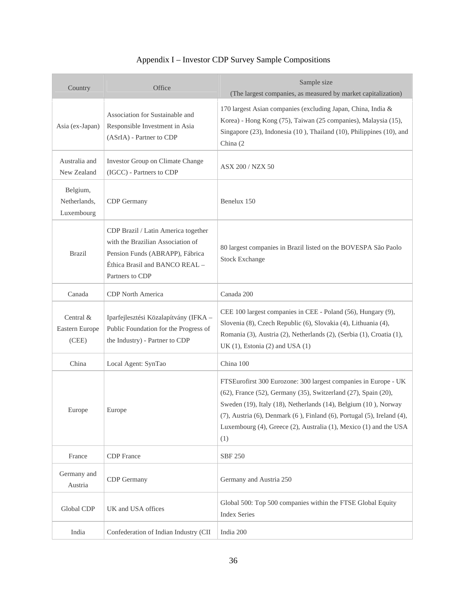| Country                                | Office                                                                                                                                                           | Sample size<br>(The largest companies, as measured by market capitalization)                                                                                                                                                                                                                                                                                                 |
|----------------------------------------|------------------------------------------------------------------------------------------------------------------------------------------------------------------|------------------------------------------------------------------------------------------------------------------------------------------------------------------------------------------------------------------------------------------------------------------------------------------------------------------------------------------------------------------------------|
| Asia (ex-Japan)                        | Association for Sustainable and<br>Responsible Investment in Asia<br>(ASrIA) - Partner to CDP                                                                    | 170 largest Asian companies (excluding Japan, China, India &<br>Korea) - Hong Kong (75), Taiwan (25 companies), Malaysia (15),<br>Singapore (23), Indonesia (10), Thailand (10), Philippines (10), and<br>China (2)                                                                                                                                                          |
| Australia and<br>New Zealand           | Investor Group on Climate Change<br>(IGCC) - Partners to CDP                                                                                                     | ASX 200 / NZX 50                                                                                                                                                                                                                                                                                                                                                             |
| Belgium,<br>Netherlands,<br>Luxembourg | CDP Germany                                                                                                                                                      | Benelux 150                                                                                                                                                                                                                                                                                                                                                                  |
| <b>Brazil</b>                          | CDP Brazil / Latin America together<br>with the Brazilian Association of<br>Pension Funds (ABRAPP), Fábrica<br>Éthica Brasil and BANCO REAL -<br>Partners to CDP | 80 largest companies in Brazil listed on the BOVESPA São Paolo<br><b>Stock Exchange</b>                                                                                                                                                                                                                                                                                      |
| Canada                                 | <b>CDP</b> North America                                                                                                                                         | Canada 200                                                                                                                                                                                                                                                                                                                                                                   |
| Central &<br>Eastern Europe<br>(CEE)   | Iparfejlesztési Közalapítvány (IFKA -<br>Public Foundation for the Progress of<br>the Industry) - Partner to CDP                                                 | CEE 100 largest companies in CEE - Poland (56), Hungary (9),<br>Slovenia (8), Czech Republic (6), Slovakia (4), Lithuania (4),<br>Romania (3), Austria (2), Netherlands (2), (Serbia (1), Croatia (1),<br>UK $(1)$ , Estonia $(2)$ and USA $(1)$                                                                                                                             |
| China                                  | Local Agent: SynTao                                                                                                                                              | China 100                                                                                                                                                                                                                                                                                                                                                                    |
| Europe                                 | Europe                                                                                                                                                           | FTSEurofirst 300 Eurozone: 300 largest companies in Europe - UK<br>(62), France (52), Germany (35), Switzerland (27), Spain (20),<br>Sweden (19), Italy (18), Netherlands (14), Belgium (10), Norway<br>$(7)$ , Austria $(6)$ , Denmark $(6)$ , Finland $(6)$ , Portugal $(5)$ , Ireland $(4)$ ,<br>Luxembourg (4), Greece (2), Australia (1), Mexico (1) and the USA<br>(1) |
| France                                 | <b>CDP</b> France                                                                                                                                                | <b>SBF 250</b>                                                                                                                                                                                                                                                                                                                                                               |
| Germany and<br>Austria                 | <b>CDP</b> Germany                                                                                                                                               | Germany and Austria 250                                                                                                                                                                                                                                                                                                                                                      |
| Global CDP                             | UK and USA offices                                                                                                                                               | Global 500: Top 500 companies within the FTSE Global Equity<br><b>Index Series</b>                                                                                                                                                                                                                                                                                           |
| India                                  | Confederation of Indian Industry (CII                                                                                                                            | India 200                                                                                                                                                                                                                                                                                                                                                                    |

# Appendix I – Investor CDP Survey Sample Compositions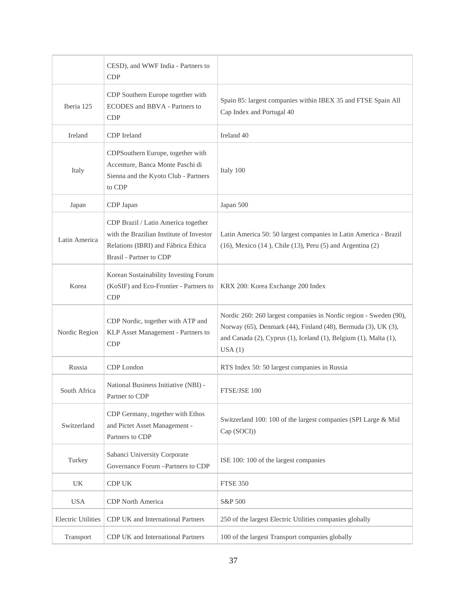|                           | CESD), and WWF India - Partners to<br><b>CDP</b>                                                                                                         |                                                                                                                                                                                                                  |  |
|---------------------------|----------------------------------------------------------------------------------------------------------------------------------------------------------|------------------------------------------------------------------------------------------------------------------------------------------------------------------------------------------------------------------|--|
| Iberia 125                | CDP Southern Europe together with<br>ECODES and BBVA - Partners to<br><b>CDP</b>                                                                         | Spain 85: largest companies within IBEX 35 and FTSE Spain All<br>Cap Index and Portugal 40                                                                                                                       |  |
| Ireland                   | CDP Ireland                                                                                                                                              | Ireland 40                                                                                                                                                                                                       |  |
| Italy                     | CDPSouthern Europe, together with<br>Accenture, Banca Monte Paschi di<br>Sienna and the Kyoto Club - Partners<br>to CDP                                  | Italy 100                                                                                                                                                                                                        |  |
| Japan                     | CDP Japan                                                                                                                                                | Japan 500                                                                                                                                                                                                        |  |
| Latin America             | CDP Brazil / Latin America together<br>with the Brazilian Institute of Investor<br>Relations (IBRI) and Fábrica Éthica<br><b>Brasil</b> - Partner to CDP | Latin America 50: 50 largest companies in Latin America - Brazil<br>$(16)$ , Mexico $(14)$ , Chile $(13)$ , Peru $(5)$ and Argentina $(2)$                                                                       |  |
| Korea                     | Korean Sustainability Investing Forum<br>(KoSIF) and Eco-Frontier - Partners to<br><b>CDP</b>                                                            | KRX 200: Korea Exchange 200 Index                                                                                                                                                                                |  |
| Nordic Region             | CDP Nordic, together with ATP and<br>KLP Asset Management - Partners to<br><b>CDP</b>                                                                    | Nordic 260: 260 largest companies in Nordic region - Sweden (90),<br>Norway (65), Denmark (44), Finland (48), Bermuda (3), UK (3),<br>and Canada (2), Cyprus (1), Iceland (1), Belgium (1), Malta (1),<br>USA(1) |  |
| Russia                    | CDP London                                                                                                                                               | RTS Index 50: 50 largest companies in Russia                                                                                                                                                                     |  |
| South Africa              | National Business Initiative (NBI) -<br>Partner to CDP                                                                                                   | FTSE/JSE 100                                                                                                                                                                                                     |  |
| Switzerland               | CDP Germany, together with Ethos<br>and Pictet Asset Management -<br>Partners to CDP                                                                     | Switzerland 100: 100 of the largest companies (SPI Large & Mid<br>Cap (SOCI))                                                                                                                                    |  |
| Turkey                    | Sabanci University Corporate<br>Governance Forum -Partners to CDP                                                                                        | ISE 100: 100 of the largest companies                                                                                                                                                                            |  |
| UK                        | CDP UK                                                                                                                                                   | <b>FTSE 350</b>                                                                                                                                                                                                  |  |
| <b>USA</b>                | CDP North America                                                                                                                                        | S&P 500                                                                                                                                                                                                          |  |
| <b>Electric Utilities</b> | CDP UK and International Partners                                                                                                                        | 250 of the largest Electric Utilities companies globally                                                                                                                                                         |  |
| Transport                 | CDP UK and International Partners                                                                                                                        | 100 of the largest Transport companies globally                                                                                                                                                                  |  |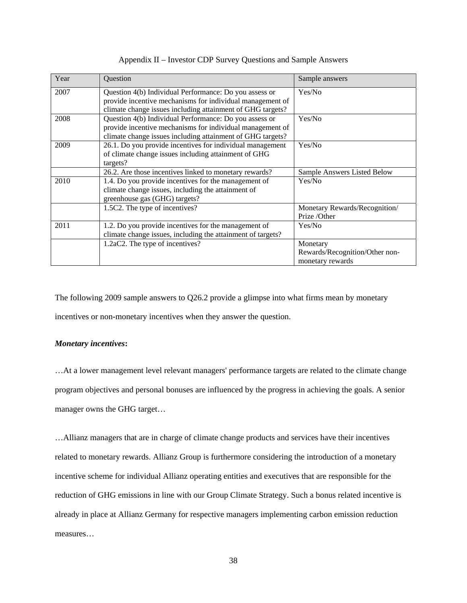| Year | <b>Ouestion</b>                                             | Sample answers                 |
|------|-------------------------------------------------------------|--------------------------------|
| 2007 | Question 4(b) Individual Performance: Do you assess or      | Yes/No                         |
|      | provide incentive mechanisms for individual management of   |                                |
|      | climate change issues including attainment of GHG targets?  |                                |
| 2008 | Question 4(b) Individual Performance: Do you assess or      | Yes/No                         |
|      | provide incentive mechanisms for individual management of   |                                |
|      | climate change issues including attainment of GHG targets?  |                                |
| 2009 | 26.1. Do you provide incentives for individual management   | Yes/No                         |
|      | of climate change issues including attainment of GHG        |                                |
|      | targets?                                                    |                                |
|      | 26.2. Are those incentives linked to monetary rewards?      | Sample Answers Listed Below    |
| 2010 | 1.4. Do you provide incentives for the management of        | Yes/No                         |
|      | climate change issues, including the attainment of          |                                |
|      | greenhouse gas (GHG) targets?                               |                                |
|      | 1.5C2. The type of incentives?                              | Monetary Rewards/Recognition/  |
|      |                                                             | Prize /Other                   |
| 2011 | 1.2. Do you provide incentives for the management of        | Yes/No                         |
|      | climate change issues, including the attainment of targets? |                                |
|      | 1.2aC2. The type of incentives?                             | Monetary                       |
|      |                                                             | Rewards/Recognition/Other non- |
|      |                                                             | monetary rewards               |

#### Appendix II – Investor CDP Survey Questions and Sample Answers

The following 2009 sample answers to Q26.2 provide a glimpse into what firms mean by monetary incentives or non-monetary incentives when they answer the question.

# *Monetary incentives***:**

…At a lower management level relevant managers' performance targets are related to the climate change program objectives and personal bonuses are influenced by the progress in achieving the goals. A senior manager owns the GHG target…

…Allianz managers that are in charge of climate change products and services have their incentives related to monetary rewards. Allianz Group is furthermore considering the introduction of a monetary incentive scheme for individual Allianz operating entities and executives that are responsible for the reduction of GHG emissions in line with our Group Climate Strategy. Such a bonus related incentive is already in place at Allianz Germany for respective managers implementing carbon emission reduction measures…